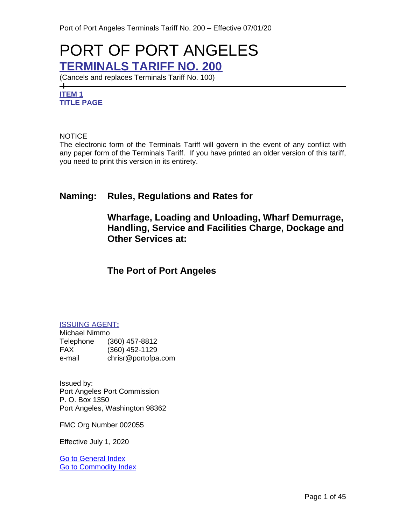# PORT OF PORT ANGELES **TERMINALS TARIFF NO. 200**

(Cancels and replaces Terminals Tariff No. 100)

## **ITEM 1 TITLE PAGE**

 $+$ 

#### **NOTICE**

The electronic form of the Terminals Tariff will govern in the event of any conflict with any paper form of the Terminals Tariff. If you have printed an older version of this tariff, you need to print this version in its entirety.

## **Naming: Rules, Regulations and Rates for**

**Wharfage, Loading and Unloading, Wharf Demurrage, Handling, Service and Facilities Charge, Dockage and Other Services at:**

## **The Port of Port Angeles**

#### ISSUING AGENT**:**

Michael Nimmo Telephone (360) 457-8812 FAX (360) 452-1129<br>e-mail chrisr@portofpa chrisr@portofpa.com

Issued by: Port Angeles Port Commission P. O. Box 1350 Port Angeles, Washington 98362

FMC Org Number 002055

Effective July 1, 2020

[Go to General Index](#page-3-0) [Go to Commodity Index](#page-6-0)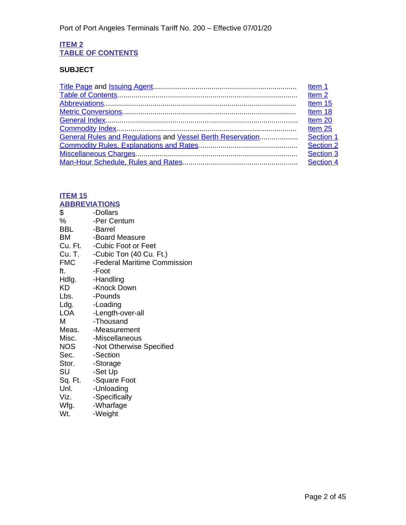#### **ITEM 2 TABLE OF CONTENTS**

## **SUBJECT**

| Item <sub>2</sub> |
|-------------------|
| Item 15           |
| Item 18           |
|                   |
| Item 25           |
|                   |
| Section 2         |
| Section 3         |
| Section 4         |

#### <span id="page-1-1"></span>**ITEM 15 ABBREVIATIONS**

<span id="page-1-0"></span>

|            | <u>ABBRETIAINTU</u>            |
|------------|--------------------------------|
| \$         | -Dollars                       |
| %          | -Per Centum                    |
| BBL        | -Barrel                        |
| <b>BM</b>  | -Board Measure                 |
|            | Cu. Ft. - Cubic Foot or Feet   |
|            | Cu. T. -Cubic Ton (40 Cu. Ft.) |
| <b>FMC</b> | -Federal Maritime Commission   |
| ft.        | -Foot                          |
| Hdlg.      | -Handling                      |
| KD         | -Knock Down                    |
| Lbs.       | -Pounds                        |
| Ldg.       | -Loading                       |
| LOA        | -Length-over-all               |
| М          | -Thousand                      |
|            | Meas. - Measurement            |
|            | Misc. - Miscellaneous          |
| NOS        | -Not Otherwise Specified       |
| Sec.       | -Section                       |
| Stor.      | -Storage                       |
| SU         | -Set Up                        |
|            | Sq. Ft. - Square Foot          |
| Unl.       | -Unloading                     |
| Viz.       | -Specifically                  |
| Wfg.       | -Wharfage                      |
| Wt.        | -Weight                        |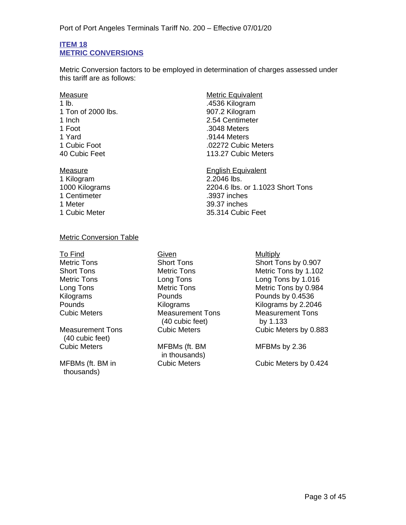#### <span id="page-2-1"></span>**ITEM 18 METRIC CONVERSIONS**

<span id="page-2-0"></span>Metric Conversion factors to be employed in determination of charges assessed under this tariff are as follows:

- Measure Metric Equivalent 1 lb. .4536 Kilogram 1 Ton of 2000 lbs. 907.2 Kilogram 1 Inch 2.54 Centimeter 1 Foot .3048 Meters 1 Yard .9144 Meters
- 1 Kilogram 2.2046 lbs. 1 Centimeter .3937 inches 1 Meter 39.37 inches

1 Cubic Foot .02272 Cubic Meters 113.27 Cubic Meters

Measure **English Equivalent** 1000 Kilograms 2204.6 lbs. or 1.1023 Short Tons 1 Cubic Meter 35.314 Cubic Feet

#### Metric Conversion Table

Measurement Tons (40 cubic feet)

MFBMs (ft. BM in thousands)

To Find Given Contact Contact Contact Contact Contact Contact Contact Contact Contact Contact Contact Contact Contact Contact Contact Contact Contact Contact Contact Contact Contact Contact Contact Contact Contact Contact **Measurement Tons** (40 cubic feet)

> MFBMs (ft. BM in thousands)

Metric Tons Short Tons Short Tons Short Tons by 0.907 Short Tons Metric Tons Metric Tons by 1.102 Metric Tons **Long Tons** Long Tons Long Tons by 1.016<br>
Long Tons **Cong Tons** Metric Tons **Cong Tons** Metric Tons by 0.984 Metric Tons Metric Tons by 0.984 Kilograms Pounds Pounds by 0.4536 Pounds Milograms Kilograms Kilograms by 2.2046<br>Cubic Meters Measurement Tons Measurement Tons Measurement Tons by 1.133 Cubic Meters Cubic Meters by 0.883

MFBMs by 2.36

Cubic Meters Cubic Meters by 0.424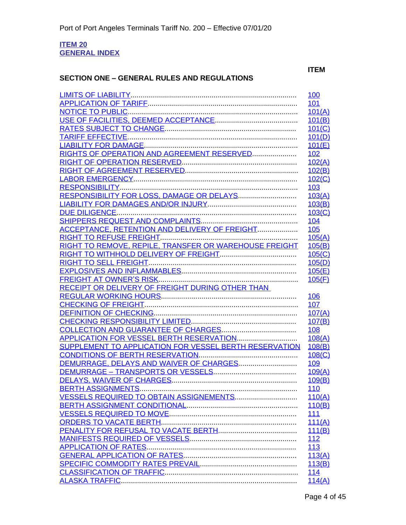#### <span id="page-3-1"></span><span id="page-3-0"></span>**ITEM 20 GENERAL INDEX**

## **SECTION ONE – GENERAL RULES AND REGULATIONS**

**ITEM**

|                                                        | 100        |
|--------------------------------------------------------|------------|
|                                                        | 101        |
|                                                        | 101(A)     |
|                                                        | 101(B)     |
|                                                        | 101(C)     |
|                                                        | 101(D)     |
|                                                        | 101(E)     |
| RIGHTS OF OPERATION AND AGREEMENT RESERVED             | <u>102</u> |
|                                                        | 102(A)     |
|                                                        | 102(B)     |
|                                                        | 102(C)     |
|                                                        | 103        |
|                                                        | 103(A)     |
|                                                        | 103(B)     |
|                                                        | 103(C)     |
|                                                        | <b>104</b> |
| ACCEPTANCE, RETENTION AND DELIVERY OF FREIGHT          | 105        |
|                                                        | 105(A)     |
| RIGHT TO REMOVE, REPILE, TRANSFER OR WAREHOUSE FREIGHT | 105(B)     |
|                                                        | 105(C)     |
|                                                        | 105(D)     |
|                                                        | 105(E)     |
|                                                        | 105(F)     |
| RECEIPT OR DELIVERY OF FREIGHT DURING OTHER THAN       |            |
|                                                        | 106        |
|                                                        | 107        |
|                                                        | 107(A)     |
|                                                        | 107(B)     |
|                                                        | <b>108</b> |
|                                                        | 108(A)     |
| SUPPLEMENT TO APPLICATION FOR VESSEL BERTH RESERVATION | 108(B)     |
|                                                        | 108(C)     |
|                                                        | 109        |
|                                                        | 109(A)     |
|                                                        | 109(B)     |
|                                                        | 110        |
| VESSELS REQUIRED TO OBTAIN ASSIGNEMENTS                | 110(A)     |
|                                                        | 110(B)     |
|                                                        | <b>111</b> |
|                                                        | 111(A)     |
|                                                        | 111(B)     |
|                                                        | 112        |
|                                                        | 113        |
|                                                        | 113(A)     |
|                                                        | 113(B)     |
|                                                        | 114        |
|                                                        | 114(A)     |
|                                                        |            |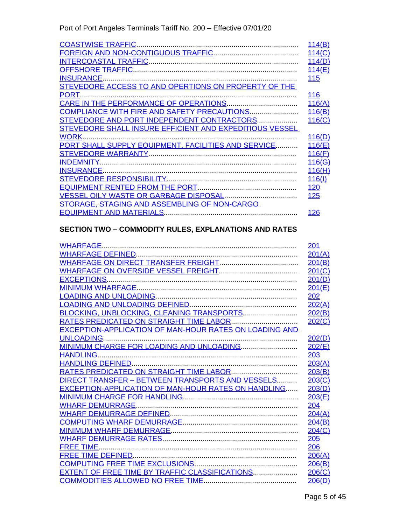|                                                         | 114(B)     |
|---------------------------------------------------------|------------|
|                                                         | 114(C)     |
|                                                         | 114(D)     |
|                                                         | 114(E)     |
|                                                         | 115        |
| STEVEDORE ACCESS TO AND OPERTIONS ON PROPERTY OF THE    |            |
| PORT.                                                   | 116        |
|                                                         | 116(A)     |
|                                                         | 116(B)     |
| STEVEDORE AND PORT INDEPENDENT CONTRACTORS              | 116(C)     |
| STEVEDORE SHALL INSURE EFFICIENT AND EXPEDITIOUS VESSEL |            |
| WORK.                                                   | 116(D)     |
| PORT SHALL SUPPLY EQUIPMENT, FACILITIES AND SERVICE     | 116(E)     |
|                                                         | 116(F)     |
| <b>INDEMNITY.</b>                                       | 116(G)     |
| <b>INSURANCE.</b>                                       | 116(H)     |
|                                                         | 116(1)     |
|                                                         | <u>120</u> |
|                                                         | <b>125</b> |
| STORAGE, STAGING AND ASSEMBLING OF NON-CARGO            |            |
|                                                         | <u>126</u> |
|                                                         |            |

## **SECTION TWO – COMMODITY RULES, EXPLANATIONS AND RATES**

|                                                               | 201    |
|---------------------------------------------------------------|--------|
|                                                               | 201(A) |
|                                                               | 201(B) |
|                                                               | 201(C) |
| <b>EXCEPTIONS</b>                                             | 201(D) |
|                                                               | 201(E) |
|                                                               | 202    |
|                                                               | 202(A) |
| BLOCKING, UNBLOCKING, CLEANING TRANSPORTS                     | 202(B) |
|                                                               | 202(C) |
| <b>EXCEPTION-APPLICATION OF MAN-HOUR RATES ON LOADING AND</b> |        |
| <b>UNLOADING</b>                                              | 202(D) |
|                                                               | 202(E) |
| <b>HANDLING</b>                                               | 203    |
|                                                               | 203(A) |
|                                                               | 203(B) |
| DIRECT TRANSFER - BETWEEN TRANSPORTS AND VESSELS              | 203(C) |
| <b>EXCEPTION-APPLICATION OF MAN-HOUR RATES ON HANDLING</b>    | 203(D) |
|                                                               | 203(E) |
|                                                               | 204    |
|                                                               | 204(A) |
|                                                               | 204(B) |
|                                                               | 204(C) |
|                                                               | 205    |
|                                                               | 206    |
|                                                               | 206(A) |
|                                                               | 206(B) |
| EXTENT OF FREE TIME BY TRAFFIC CLASSIFICATIONS                | 206(C) |
|                                                               | 206(D) |
|                                                               |        |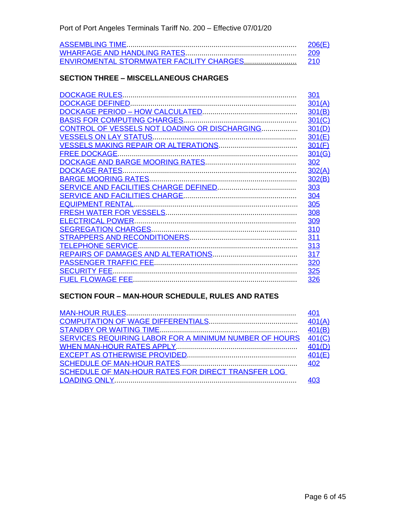| 206(E) |
|--------|
|        |
|        |

#### **SECTION THREE – MISCELLANEOUS CHARGES**

|                                               | 301    |
|-----------------------------------------------|--------|
|                                               | 301(A) |
|                                               | 301(B) |
|                                               | 301(C) |
| CONTROL OF VESSELS NOT LOADING OR DISCHARGING | 301(D) |
|                                               | 301(E) |
|                                               | 301(F) |
| <b>FREE DOCKAGE.</b>                          | 301(G) |
|                                               | 302    |
|                                               | 302(A) |
|                                               | 302(B) |
|                                               | 303    |
|                                               | 304    |
|                                               | 305    |
|                                               | 308    |
|                                               | 309    |
|                                               | 310    |
|                                               | 311    |
|                                               | 313    |
|                                               | 317    |
|                                               | 320    |
|                                               | 325    |
|                                               | 326    |
|                                               |        |

## **SECTION FOUR – MAN-HOUR SCHEDULE, RULES AND RATES**

| SERVICES REQUIRING LABOR FOR A MINIMUM NUMBER OF HOURS | 401(C) |
|--------------------------------------------------------|--------|
|                                                        |        |
|                                                        |        |
|                                                        |        |
| SCHEDULE OF MAN-HOUR RATES FOR DIRECT TRANSFER LOG     |        |
|                                                        |        |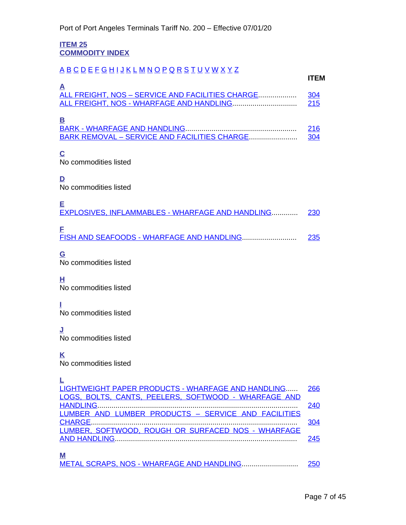#### <span id="page-6-1"></span>**ITEM 25 COMMODITY INDEX**

## <span id="page-6-0"></span>[A](#page-6-2) [B](#page-6-3) [C](#page-6-4) [D](#page-6-5) [E](#page-6-6) [F](#page-6-7) [G](#page-6-8) [H](#page-6-9) [I](#page-6-10) [J](#page-6-11) [K](#page-6-12) [L](#page-6-13) [M](#page-6-14) [N](#page-7-0) [O](#page-7-1) [P](#page-7-2) [Q](#page-7-3) [R](#page-7-4) [S](#page-7-5) [T](#page-7-6) [U](#page-7-7) [V](#page-7-8) [W](#page-7-9) [X](#page-7-10) [Y](#page-7-11) [Z](#page-7-12)

<span id="page-6-2"></span>

| $\mathsf{A}$                                      | <b>ITFM</b> |
|---------------------------------------------------|-------------|
| ALL FREIGHT, NOS – SERVICE AND FACILITIES CHARGE  | 304<br>215  |
| Β<br>BARK REMOVAL - SERVICE AND FACILITIES CHARGE | <b>216</b>  |

## <span id="page-6-3"></span>**C**

<span id="page-6-4"></span>No commodities listed

## **D**

<span id="page-6-5"></span>No commodities listed

<span id="page-6-6"></span>

| Е<br>EXPLOSIVES, INFLAMMABLES - WHARFAGE AND HANDLING 230 |     |
|-----------------------------------------------------------|-----|
| E<br>FISH AND SEAFOODS - WHARFAGE AND HANDLING            | 235 |

## <span id="page-6-7"></span>**G**

<span id="page-6-8"></span>No commodities listed

**H**

<span id="page-6-9"></span>No commodities listed

#### **I**

<span id="page-6-10"></span>No commodities listed

## **J**

<span id="page-6-11"></span>No commodities listed

## **K**

<span id="page-6-12"></span>No commodities listed

## **L**

<span id="page-6-14"></span><span id="page-6-13"></span>

| LIGHTWEIGHT PAPER PRODUCTS - WHARFAGE AND HANDLING 266 |     |
|--------------------------------------------------------|-----|
| LOGS, BOLTS, CANTS, PEELERS, SOFTWOOD - WHARFAGE AND   |     |
|                                                        | 240 |
| LUMBER AND LUMBER PRODUCTS - SERVICE AND FACILITIES    |     |
|                                                        | 304 |
| LUMBER, SOFTWOOD, ROUGH OR SURFACED NOS - WHARFAGE     |     |
|                                                        | 245 |
|                                                        |     |
| M                                                      |     |
|                                                        |     |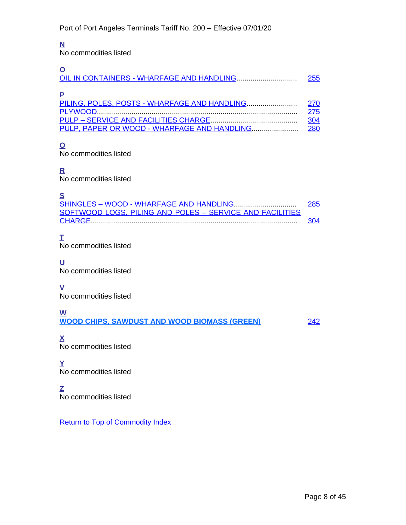## <span id="page-7-0"></span>**N**

No commodities listed

<span id="page-7-2"></span><span id="page-7-1"></span>

|                                                                                             | 255                      |
|---------------------------------------------------------------------------------------------|--------------------------|
| PILING, POLES, POSTS - WHARFAGE AND HANDLING<br>PULP, PAPER OR WOOD - WHARFAGE AND HANDLING | 270<br>275<br>304<br>280 |
|                                                                                             |                          |

<span id="page-7-3"></span>No commodities listed

## **R**

<span id="page-7-4"></span>No commodities listed

## **S**

<span id="page-7-5"></span>

| -                                                        |     |
|----------------------------------------------------------|-----|
|                                                          | 285 |
| SOFTWOOD LOGS, PILING AND POLES - SERVICE AND FACILITIES |     |
|                                                          | 304 |
|                                                          |     |

## **T**

<span id="page-7-6"></span>No commodities listed

## **U**

<span id="page-7-7"></span>No commodities listed

## **V**

<span id="page-7-8"></span>No commodities listed

## **W**

<span id="page-7-9"></span>**WOOD CHIPS, SAWDUST AND WOOD BIOMASS (GREEN)** [242](#page-32-9)

<span id="page-7-10"></span>**X** No commodities listed

## **Y**

<span id="page-7-11"></span>No commodities listed

## **Z**

<span id="page-7-12"></span>No commodities listed

Return to Top of Commodity Index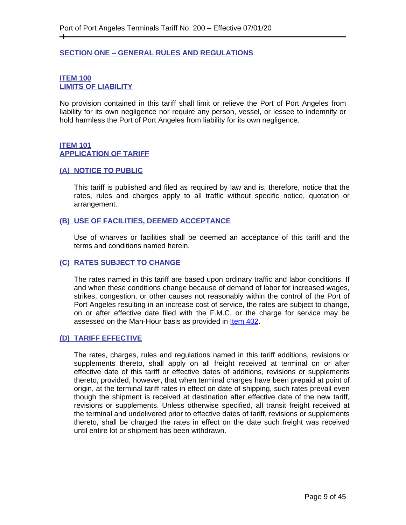#### <span id="page-8-1"></span><span id="page-8-0"></span>**SECTION ONE – GENERAL RULES AND REGULATIONS**

#### <span id="page-8-3"></span><span id="page-8-2"></span>**ITEM 100 LIMITS OF LIABILITY**

 $\pm$ 

No provision contained in this tariff shall limit or relieve the Port of Port Angeles from liability for its own negligence nor require any person, vessel, or lessee to indemnify or hold harmless the Port of Port Angeles from liability for its own negligence.

#### <span id="page-8-5"></span><span id="page-8-4"></span>**ITEM 101 APPLICATION OF TARIFF**

#### <span id="page-8-6"></span>**(A) NOTICE TO PUBLIC**

This tariff is published and filed as required by law and is, therefore, notice that the rates, rules and charges apply to all traffic without specific notice, quotation or arrangement.

#### <span id="page-8-7"></span>**(B) USE OF FACILITIES, DEEMED ACCEPTANCE**

Use of wharves or facilities shall be deemed an acceptance of this tariff and the terms and conditions named herein.

#### <span id="page-8-8"></span>**(C) RATES SUBJECT TO CHANGE**

The rates named in this tariff are based upon ordinary traffic and labor conditions. If and when these conditions change because of demand of labor for increased wages, strikes, congestion, or other causes not reasonably within the control of the Port of Port Angeles resulting in an increase cost of service, the rates are subject to change, on or after effective date filed with the F.M.C. or the charge for service may be assessed on the Man-Hour basis as provided in [Item 402.](#page-43-1)

#### <span id="page-8-9"></span>**(D) TARIFF EFFECTIVE**

The rates, charges, rules and regulations named in this tariff additions, revisions or supplements thereto, shall apply on all freight received at terminal on or after effective date of this tariff or effective dates of additions, revisions or supplements thereto, provided, however, that when terminal charges have been prepaid at point of origin, at the terminal tariff rates in effect on date of shipping, such rates prevail even though the shipment is received at destination after effective date of the new tariff, revisions or supplements. Unless otherwise specified, all transit freight received at the terminal and undelivered prior to effective dates of tariff, revisions or supplements thereto, shall be charged the rates in effect on the date such freight was received until entire lot or shipment has been withdrawn.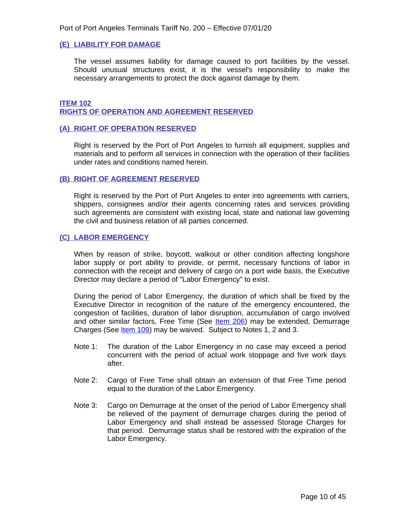#### <span id="page-9-0"></span>**(E) LIABILITY FOR DAMAGE**

The vessel assumes liability for damage caused to port facilities by the vessel. Should unusual structures exist, it is the vessel's responsibility to make the necessary arrangements to protect the dock against damage by them.

#### <span id="page-9-2"></span><span id="page-9-1"></span>**ITEM 102 RIGHTS OF OPERATION AND AGREEMENT RESERVED**

#### <span id="page-9-3"></span>**(A) RIGHT OF OPERATION RESERVED**

Right is reserved by the Port of Port Angeles to furnish all equipment, supplies and materials and to perform all services in connection with the operation of their facilities under rates and conditions named herein.

#### <span id="page-9-4"></span>**(B) RIGHT OF AGREEMENT RESERVED**

Right is reserved by the Port of Port Angeles to enter into agreements with carriers, shippers, consignees and/or their agents concerning rates and services providing such agreements are consistent with existing local, state and national law governing the civil and business relation of all parties concerned.

#### <span id="page-9-5"></span>**(C) LABOR EMERGENCY**

When by reason of strike, boycott, walkout or other condition affecting longshore labor supply or port ability to provide, or permit, necessary functions of labor in connection with the receipt and delivery of cargo on a port wide basis, the Executive Director may declare a period of "Labor Emergency" to exist.

During the period of Labor Emergency, the duration of which shall be fixed by the Executive Director in recognition of the nature of the emergency encountered, the congestion of facilities, duration of labor disruption, accumulation of cargo involved and other similar factors, Free Time (See [Item 206](#page-29-2)) may be extended, Demurrage Charges (See *[Item 109](#page-17-1)*) may be waived. Subject to Notes 1, 2 and 3.

- Note 1: The duration of the Labor Emergency in no case may exceed a period concurrent with the period of actual work stoppage and five work days after.
- Note 2: Cargo of Free Time shall obtain an extension of that Free Time period equal to the duration of the Labor Emergency.
- Note 3: Cargo on Demurrage at the onset of the period of Labor Emergency shall be relieved of the payment of demurrage charges during the period of Labor Emergency and shall instead be assessed Storage Charges for that period. Demurrage status shall be restored with the expiration of the Labor Emergency.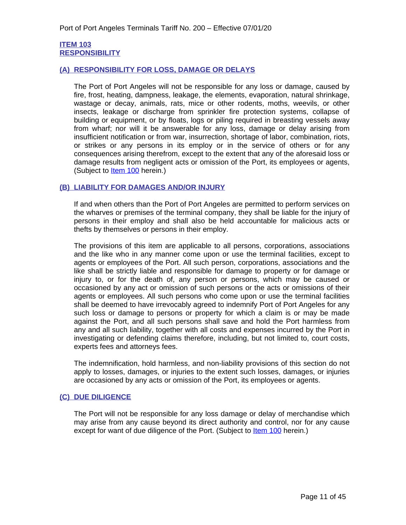#### <span id="page-10-1"></span><span id="page-10-0"></span>**ITEM 103 RESPONSIBILITY**

#### <span id="page-10-2"></span>**(A) RESPONSIBILITY FOR LOSS, DAMAGE OR DELAYS**

The Port of Port Angeles will not be responsible for any loss or damage, caused by fire, frost, heating, dampness, leakage, the elements, evaporation, natural shrinkage, wastage or decay, animals, rats, mice or other rodents, moths, weevils, or other insects, leakage or discharge from sprinkler fire protection systems, collapse of building or equipment, or by floats, logs or piling required in breasting vessels away from wharf; nor will it be answerable for any loss, damage or delay arising from insufficient notification or from war, insurrection, shortage of labor, combination, riots, or strikes or any persons in its employ or in the service of others or for any consequences arising therefrom, except to the extent that any of the aforesaid loss or damage results from negligent acts or omission of the Port, its employees or agents, (Subject to [Item 100](#page-17-5) herein.)

#### <span id="page-10-3"></span>**(B) LIABILITY FOR DAMAGES AND/OR INJURY**

If and when others than the Port of Port Angeles are permitted to perform services on the wharves or premises of the terminal company, they shall be liable for the injury of persons in their employ and shall also be held accountable for malicious acts or thefts by themselves or persons in their employ.

The provisions of this item are applicable to all persons, corporations, associations and the like who in any manner come upon or use the terminal facilities, except to agents or employees of the Port. All such person, corporations, associations and the like shall be strictly liable and responsible for damage to property or for damage or injury to, or for the death of, any person or persons, which may be caused or occasioned by any act or omission of such persons or the acts or omissions of their agents or employees. All such persons who come upon or use the terminal facilities shall be deemed to have irrevocably agreed to indemnify Port of Port Angeles for any such loss or damage to persons or property for which a claim is or may be made against the Port, and all such persons shall save and hold the Port harmless from any and all such liability, together with all costs and expenses incurred by the Port in investigating or defending claims therefore, including, but not limited to, court costs, experts fees and attorneys fees.

The indemnification, hold harmless, and non-liability provisions of this section do not apply to losses, damages, or injuries to the extent such losses, damages, or injuries are occasioned by any acts or omission of the Port, its employees or agents.

#### <span id="page-10-4"></span>**(C) DUE DILIGENCE**

The Port will not be responsible for any loss damage or delay of merchandise which may arise from any cause beyond its direct authority and control, nor for any cause except for want of due diligence of the Port. (Subject to **Item 100** herein.)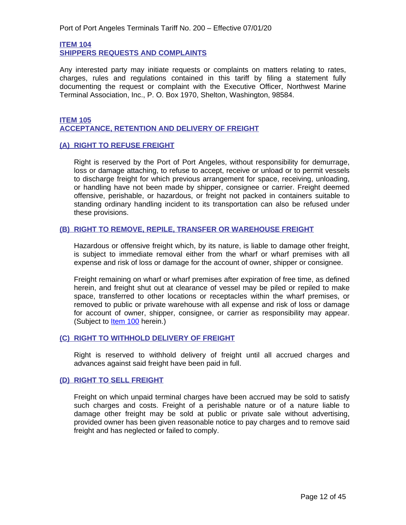<span id="page-11-1"></span><span id="page-11-0"></span>**ITEM 104 SHIPPERS REQUESTS AND COMPLAINTS**

Any interested party may initiate requests or complaints on matters relating to rates, charges, rules and regulations contained in this tariff by filing a statement fully documenting the request or complaint with the Executive Officer, Northwest Marine Terminal Association, Inc., P. O. Box 1970, Shelton, Washington, 98584.

#### <span id="page-11-3"></span><span id="page-11-2"></span>**ITEM 105 ACCEPTANCE, RETENTION AND DELIVERY OF FREIGHT**

#### <span id="page-11-4"></span>**(A) RIGHT TO REFUSE FREIGHT**

Right is reserved by the Port of Port Angeles, without responsibility for demurrage, loss or damage attaching, to refuse to accept, receive or unload or to permit vessels to discharge freight for which previous arrangement for space, receiving, unloading, or handling have not been made by shipper, consignee or carrier. Freight deemed offensive, perishable, or hazardous, or freight not packed in containers suitable to standing ordinary handling incident to its transportation can also be refused under these provisions.

#### <span id="page-11-5"></span>**(B) RIGHT TO REMOVE, REPILE, TRANSFER OR WAREHOUSE FREIGHT**

Hazardous or offensive freight which, by its nature, is liable to damage other freight, is subject to immediate removal either from the wharf or wharf premises with all expense and risk of loss or damage for the account of owner, shipper or consignee.

Freight remaining on wharf or wharf premises after expiration of free time, as defined herein, and freight shut out at clearance of vessel may be piled or repiled to make space, transferred to other locations or receptacles within the wharf premises, or removed to public or private warehouse with all expense and risk of loss or damage for account of owner, shipper, consignee, or carrier as responsibility may appear. (Subject to **Item 100** herein.)

#### <span id="page-11-6"></span>**(C) RIGHT TO WITHHOLD DELIVERY OF FREIGHT**

Right is reserved to withhold delivery of freight until all accrued charges and advances against said freight have been paid in full.

#### <span id="page-11-7"></span>**(D) RIGHT TO SELL FREIGHT**

Freight on which unpaid terminal charges have been accrued may be sold to satisfy such charges and costs. Freight of a perishable nature or of a nature liable to damage other freight may be sold at public or private sale without advertising, provided owner has been given reasonable notice to pay charges and to remove said freight and has neglected or failed to comply.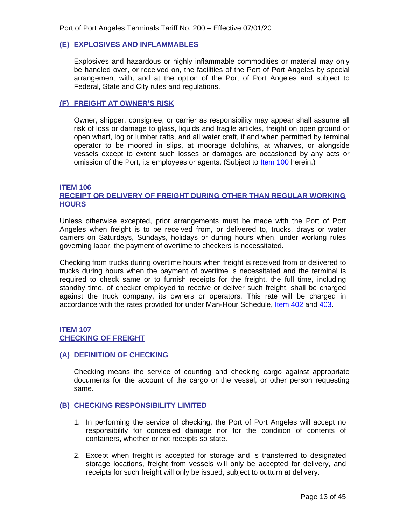#### <span id="page-12-0"></span>**(E) EXPLOSIVES AND INFLAMMABLES**

Explosives and hazardous or highly inflammable commodities or material may only be handled over, or received on, the facilities of the Port of Port Angeles by special arrangement with, and at the option of the Port of Port Angeles and subject to Federal, State and City rules and regulations.

#### <span id="page-12-1"></span>**(F) FREIGHT AT OWNER'S RISK**

Owner, shipper, consignee, or carrier as responsibility may appear shall assume all risk of loss or damage to glass, liquids and fragile articles, freight on open ground or open wharf, log or lumber rafts, and all water craft, if and when permitted by terminal operator to be moored in slips, at moorage dolphins, at wharves, or alongside vessels except to extent such losses or damages are occasioned by any acts or omission of the Port, its employees or agents. (Subject to [Item 100](#page-17-5) herein.)

#### <span id="page-12-3"></span><span id="page-12-2"></span>**ITEM 106 RECEIPT OR DELIVERY OF FREIGHT DURING OTHER THAN REGULAR WORKING HOURS**

Unless otherwise excepted, prior arrangements must be made with the Port of Port Angeles when freight is to be received from, or delivered to, trucks, drays or water carriers on Saturdays, Sundays, holidays or during hours when, under working rules governing labor, the payment of overtime to checkers is necessitated.

Checking from trucks during overtime hours when freight is received from or delivered to trucks during hours when the payment of overtime is necessitated and the terminal is required to check same or to furnish receipts for the freight, the full time, including standby time, of checker employed to receive or deliver such freight, shall be charged against the truck company, its owners or operators. This rate will be charged in accordance with the rates provided for under Man-Hour Schedule, [Item 402 and](#page-43-1) [403.](#page-44-0)

#### <span id="page-12-5"></span><span id="page-12-4"></span>**[ITEM 107](#page-44-0) [CHECKING OF FREIGHT](#page-44-0)**

#### <span id="page-12-6"></span>**[\(A\) DEFINITION OF CHECKING](#page-44-0)**

Checking means the service of counting and checking cargo against [appropriate](#page-44-0) [documents](#page-44-0) for the account of the cargo or the vessel, or other person requesting [same.](#page-44-0)

#### <span id="page-12-7"></span>**[\(B\) CHECKING RESPONSIBILITY LIMITED](#page-44-0)**

- [1.](#page-44-0) [I](#page-44-0)n [performing](#page-44-0) the service of checking, the Port of Port Angeles will accept no [responsibility](#page-44-0) for concealed damage nor for the condition of contents of [containers, whether or not receipts so state.](#page-44-0)
- [2. E](#page-44-0)xcept when freight is accepted for storage and is transferred to [designated](#page-44-0) storage [locations,](#page-44-0) freight from vessels will only be accepted for delivery, and [receipts for such freight will only be issued, subject to outturn at delivery.](#page-44-0)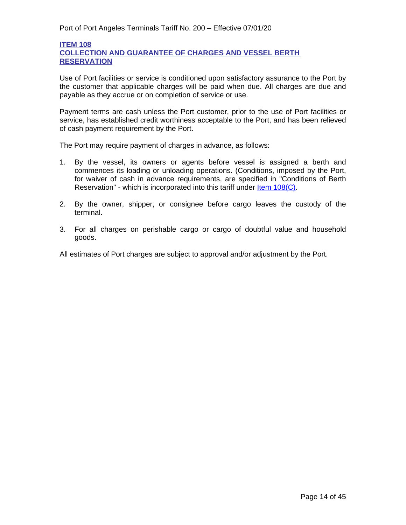#### <span id="page-13-2"></span><span id="page-13-1"></span>**ITEM 108 COLLECTION AND GUARANTEE OF CHARGES AND VESSEL BERTH RESERVATION**

Use of Port facilities or service is conditioned upon satisfactory assurance to the Port by the customer that applicable charges will be paid when due. All charges are due and payable as they accrue or on completion of service or use.

Payment terms are cash unless the Port customer, prior to the use of Port facilities or service, has established credit worthiness acceptable to the Port, and has been relieved of cash payment requirement by the Port.

The Port may require payment of charges in advance, as follows:

- 1. By the vessel, its owners or agents before vessel is assigned a berth and commences its loading or unloading operations. (Conditions, imposed by the Port, for waiver of cash in advance requirements, are specified in "Conditions of Berth Reservation" - which is incorporated into this tariff under **Item 108(C)**.
- [2.](#page-16-0) By the owner, shipper, or [consignee](#page-16-0) before cargo leaves the custody of the [terminal.](#page-16-0)
- [3.](#page-16-0) For all charges on perishable cargo or cargo of doubtful value and [household](#page-16-0) [goods.](#page-16-0)

<span id="page-13-0"></span>[All estimates of Port charges are subject to approval and/or adjustment by the Port.](#page-16-0)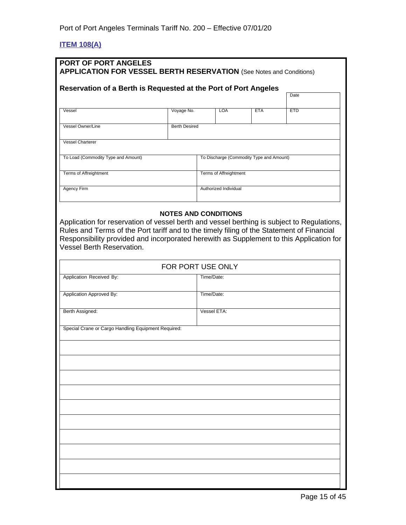## <span id="page-14-0"></span>**ITEM 108(A)**

| PORT OF PORT ANGELES<br><b>APPLICATION FOR VESSEL BERTH RESERVATION</b> (See Notes and Conditions)                                                                                                                       |                      |                                          |            |            |
|--------------------------------------------------------------------------------------------------------------------------------------------------------------------------------------------------------------------------|----------------------|------------------------------------------|------------|------------|
| Reservation of a Berth is Requested at the Port of Port Angeles                                                                                                                                                          |                      |                                          |            | Date       |
| Vessel                                                                                                                                                                                                                   | Voyage No.           | <b>LOA</b>                               | <b>ETA</b> | <b>ETD</b> |
| Vessel Owner/Line                                                                                                                                                                                                        | <b>Berth Desired</b> |                                          |            |            |
| <b>Vessel Charterer</b>                                                                                                                                                                                                  |                      |                                          |            |            |
| To Load (Commodity Type and Amount)                                                                                                                                                                                      |                      | To Discharge (Commodity Type and Amount) |            |            |
| Terms of Affreightment                                                                                                                                                                                                   |                      | Terms of Affreightment                   |            |            |
| <b>Agency Firm</b>                                                                                                                                                                                                       |                      | Authorized Individual                    |            |            |
| Rules and Terms of the Port tariff and to the timely filing of the Statement of Financial<br>Responsibility provided and incorporated herewith as Supplement to this Application for<br><b>Vessel Berth Reservation.</b> |                      | FOR PORT USE ONLY                        |            |            |
| Application Received By:                                                                                                                                                                                                 |                      | Time/Date:                               |            |            |
| Application Approved By:                                                                                                                                                                                                 |                      | Time/Date:                               |            |            |
| Berth Assigned:                                                                                                                                                                                                          |                      | Vessel ETA:                              |            |            |
| Special Crane or Cargo Handling Equipment Required:                                                                                                                                                                      |                      |                                          |            |            |
|                                                                                                                                                                                                                          |                      |                                          |            |            |
|                                                                                                                                                                                                                          |                      |                                          |            |            |
|                                                                                                                                                                                                                          |                      |                                          |            |            |
|                                                                                                                                                                                                                          |                      |                                          |            |            |
|                                                                                                                                                                                                                          |                      |                                          |            |            |
|                                                                                                                                                                                                                          |                      |                                          |            |            |
|                                                                                                                                                                                                                          |                      |                                          |            |            |
|                                                                                                                                                                                                                          |                      |                                          |            |            |
|                                                                                                                                                                                                                          |                      |                                          |            |            |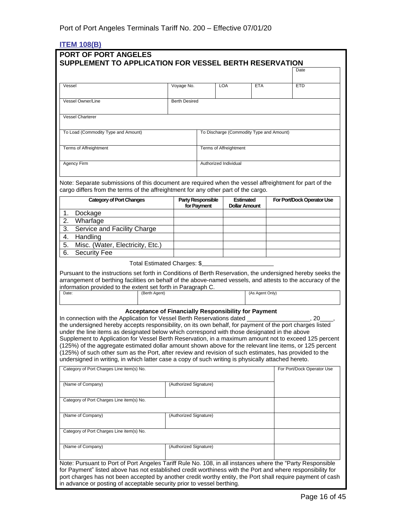## <span id="page-15-0"></span>**ITEM 108(B)**

|                                                                                                                                                                                                                                                                                                                                                                                                                                                                                                                                                                                                                                                                                                                        |               |                                                      |                       |                                          |                 |                                          | Date                       |
|------------------------------------------------------------------------------------------------------------------------------------------------------------------------------------------------------------------------------------------------------------------------------------------------------------------------------------------------------------------------------------------------------------------------------------------------------------------------------------------------------------------------------------------------------------------------------------------------------------------------------------------------------------------------------------------------------------------------|---------------|------------------------------------------------------|-----------------------|------------------------------------------|-----------------|------------------------------------------|----------------------------|
| Vessel                                                                                                                                                                                                                                                                                                                                                                                                                                                                                                                                                                                                                                                                                                                 |               | Voyage No.                                           |                       | <b>LOA</b>                               | <b>ETA</b>      |                                          | <b>ETD</b>                 |
| Vessel Owner/Line                                                                                                                                                                                                                                                                                                                                                                                                                                                                                                                                                                                                                                                                                                      |               | <b>Berth Desired</b>                                 |                       |                                          |                 |                                          |                            |
| <b>Vessel Charterer</b>                                                                                                                                                                                                                                                                                                                                                                                                                                                                                                                                                                                                                                                                                                |               |                                                      |                       |                                          |                 |                                          |                            |
| To Load (Commodity Type and Amount)                                                                                                                                                                                                                                                                                                                                                                                                                                                                                                                                                                                                                                                                                    |               |                                                      |                       |                                          |                 | To Discharge (Commodity Type and Amount) |                            |
|                                                                                                                                                                                                                                                                                                                                                                                                                                                                                                                                                                                                                                                                                                                        |               |                                                      |                       |                                          |                 |                                          |                            |
| <b>Terms of Affreightment</b>                                                                                                                                                                                                                                                                                                                                                                                                                                                                                                                                                                                                                                                                                          |               |                                                      |                       | Terms of Affreightment                   |                 |                                          |                            |
| Agency Firm                                                                                                                                                                                                                                                                                                                                                                                                                                                                                                                                                                                                                                                                                                            |               |                                                      | Authorized Individual |                                          |                 |                                          |                            |
| Note: Separate submissions of this document are required when the vessel affreightment for part of the<br>cargo differs from the terms of the affreightment for any other part of the cargo.                                                                                                                                                                                                                                                                                                                                                                                                                                                                                                                           |               |                                                      |                       |                                          |                 |                                          |                            |
| <b>Category of Port Changes</b>                                                                                                                                                                                                                                                                                                                                                                                                                                                                                                                                                                                                                                                                                        |               | <b>Party Responsible</b><br>for Payment              |                       | <b>Estimated</b><br><b>Dollar Amount</b> |                 |                                          | For Port/Dock Operator Use |
| 1.<br>Dockage<br>2.<br>Wharfage                                                                                                                                                                                                                                                                                                                                                                                                                                                                                                                                                                                                                                                                                        |               |                                                      |                       |                                          |                 |                                          |                            |
| 3.<br>Service and Facility Charge                                                                                                                                                                                                                                                                                                                                                                                                                                                                                                                                                                                                                                                                                      |               |                                                      |                       |                                          |                 |                                          |                            |
| Handling<br>4.                                                                                                                                                                                                                                                                                                                                                                                                                                                                                                                                                                                                                                                                                                         |               |                                                      |                       |                                          |                 |                                          |                            |
| Misc. (Water, Electricity, Etc.)<br>5.                                                                                                                                                                                                                                                                                                                                                                                                                                                                                                                                                                                                                                                                                 |               |                                                      |                       |                                          |                 |                                          |                            |
| 6.<br><b>Security Fee</b>                                                                                                                                                                                                                                                                                                                                                                                                                                                                                                                                                                                                                                                                                              |               |                                                      |                       |                                          |                 |                                          |                            |
|                                                                                                                                                                                                                                                                                                                                                                                                                                                                                                                                                                                                                                                                                                                        |               | Total Estimated Charges: \$                          |                       |                                          |                 |                                          |                            |
| Pursuant to the instructions set forth in Conditions of Berth Reservation, the undersigned hereby seeks the<br>arrangement of berthing facilities on behalf of the above-named vessels, and attests to the accuracy of the<br>information provided to the extent set forth in Paragraph C.<br>Date:                                                                                                                                                                                                                                                                                                                                                                                                                    | (Berth Agent) |                                                      |                       |                                          | (As Agent Only) |                                          |                            |
| In connection with the Application for Vessel Berth Reservations dated<br>the undersigned hereby accepts responsibility, on its own behalf, for payment of the port charges listed<br>under the line items as designated below which correspond with those designated in the above<br>Supplement to Application for Vessel Berth Reservation, in a maximum amount not to exceed 125 percent<br>(125%) of the aggregate estimated dollar amount shown above for the relevant line items, or 125 percent<br>(125%) of such other sum as the Port, after review and revision of such estimates, has provided to the<br>undersigned in writing, in which latter case a copy of such writing is physically attached hereto. |               | Acceptance of Financially Responsibility for Payment |                       |                                          |                 |                                          | 20                         |
| Category of Port Charges Line item(s) No.                                                                                                                                                                                                                                                                                                                                                                                                                                                                                                                                                                                                                                                                              |               |                                                      |                       |                                          |                 |                                          | For Port/Dock Operator Use |
| (Name of Company)                                                                                                                                                                                                                                                                                                                                                                                                                                                                                                                                                                                                                                                                                                      |               | (Authorized Signature)                               |                       |                                          |                 |                                          |                            |
| Category of Port Charges Line item(s) No.                                                                                                                                                                                                                                                                                                                                                                                                                                                                                                                                                                                                                                                                              |               |                                                      |                       |                                          |                 |                                          |                            |
| (Name of Company)                                                                                                                                                                                                                                                                                                                                                                                                                                                                                                                                                                                                                                                                                                      |               | (Authorized Signature)                               |                       |                                          |                 |                                          |                            |
| Category of Port Charges Line item(s) No.                                                                                                                                                                                                                                                                                                                                                                                                                                                                                                                                                                                                                                                                              |               |                                                      |                       |                                          |                 |                                          |                            |
| (Name of Company)                                                                                                                                                                                                                                                                                                                                                                                                                                                                                                                                                                                                                                                                                                      |               | (Authorized Signature)                               |                       |                                          |                 |                                          |                            |
| Note: Pursuant to Port of Port Angeles Tariff Rule No. 108, in all instances where the "Party Responsible<br>for Payment" listed above has not established credit worthiness with the Port and where responsibility for<br>port charges has not been accepted by another credit worthy entity, the Port shall require payment of cash                                                                                                                                                                                                                                                                                                                                                                                  |               |                                                      |                       |                                          |                 |                                          |                            |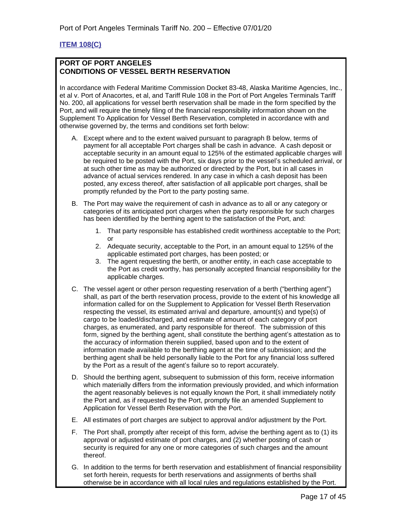## <span id="page-16-0"></span>**ITEM 108(C)**

#### **PORT OF PORT ANGELES CONDITIONS OF VESSEL BERTH RESERVATION**

In accordance with Federal Maritime Commission Docket 83-48, Alaska Maritime Agencies, Inc., et al v. Port of Anacortes, et al, and Tariff Rule 108 in the Port of Port Angeles Terminals Tariff No. 200, all applications for vessel berth reservation shall be made in the form specified by the Port, and will require the timely filing of the financial responsibility information shown on the Supplement To Application for Vessel Berth Reservation, completed in accordance with and otherwise governed by, the terms and conditions set forth below:

- A. Except where and to the extent waived pursuant to paragraph B below, terms of payment for all acceptable Port charges shall be cash in advance. A cash deposit or acceptable security in an amount equal to 125% of the estimated applicable charges will be required to be posted with the Port, six days prior to the vessel's scheduled arrival, or at such other time as may be authorized or directed by the Port, but in all cases in advance of actual services rendered. In any case in which a cash deposit has been posted, any excess thereof, after satisfaction of all applicable port charges, shall be promptly refunded by the Port to the party posting same.
- B. The Port may waive the requirement of cash in advance as to all or any category or categories of its anticipated port charges when the party responsible for such charges has been identified by the berthing agent to the satisfaction of the Port, and:
	- 1. That party responsible has established credit worthiness acceptable to the Port; or
	- 2. Adequate security, acceptable to the Port, in an amount equal to 125% of the applicable estimated port charges, has been posted; or
	- 3. The agent requesting the berth, or another entity, in each case acceptable to the Port as credit worthy, has personally accepted financial responsibility for the applicable charges.
- C. The vessel agent or other person requesting reservation of a berth ("berthing agent") shall, as part of the berth reservation process, provide to the extent of his knowledge all information called for on the Supplement to Application for Vessel Berth Reservation respecting the vessel, its estimated arrival and departure, amount(s) and type(s) of cargo to be loaded/discharged, and estimate of amount of each category of port charges, as enumerated, and party responsible for thereof. The submission of this form, signed by the berthing agent, shall constitute the berthing agent's attestation as to the accuracy of information therein supplied, based upon and to the extent of information made available to the berthing agent at the time of submission; and the berthing agent shall be held personally liable to the Port for any financial loss suffered by the Port as a result of the agent's failure so to report accurately.
- D. Should the berthing agent, subsequent to submission of this form, receive information which materially differs from the information previously provided, and which information the agent reasonably believes is not equally known the Port, it shall immediately notify the Port and, as if requested by the Port, promptly file an amended Supplement to Application for Vessel Berth Reservation with the Port.
- E. All estimates of port charges are subject to approval and/or adjustment by the Port.
- F. The Port shall, promptly after receipt of this form, advise the berthing agent as to (1) its approval or adjusted estimate of port charges, and (2) whether posting of cash or security is required for any one or more categories of such charges and the amount thereof.
- G. In addition to the terms for berth reservation and establishment of financial responsibility set forth herein, requests for berth reservations and assignments of berths shall otherwise be in accordance with all local rules and regulations established by the Port.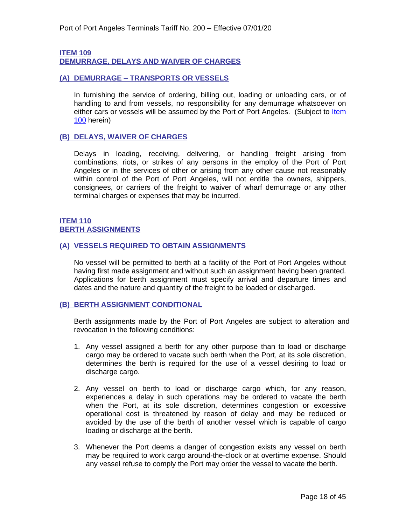#### <span id="page-17-1"></span><span id="page-17-0"></span>**ITEM 109 DEMURRAGE, DELAYS AND WAIVER OF CHARGES**

#### <span id="page-17-2"></span>**(A) DEMURRAGE – TRANSPORTS OR VESSELS**

In furnishing the service of ordering, billing out, loading or unloading cars, or of handling to and from vessels, no responsibility for any demurrage whatsoever on either cars or vessels will be assumed by the Port of Port Angeles. (Subject to Item 100 herein)

#### <span id="page-17-3"></span>**(B) DELAYS, WAIVER OF CHARGES**

Delays in loading, receiving, delivering, or handling freight arising from combinations, riots, or strikes of any persons in the employ of the Port of Port Angeles or in the services of other or arising from any other cause not reasonably within control of the Port of Port Angeles, will not entitle the owners, shippers, consignees, or carriers of the freight to waiver of wharf demurrage or any other terminal charges or expenses that may be incurred.

#### <span id="page-17-5"></span><span id="page-17-4"></span>**ITEM 110 BERTH ASSIGNMENTS**

#### <span id="page-17-6"></span>**(A) VESSELS REQUIRED TO OBTAIN ASSIGNMENTS**

No vessel will be permitted to berth at a facility of the Port of Port Angeles without having first made assignment and without such an assignment having been granted. Applications for berth assignment must specify arrival and departure times and dates and the nature and quantity of the freight to be loaded or discharged.

#### <span id="page-17-7"></span>**(B) BERTH ASSIGNMENT CONDITIONAL**

Berth assignments made by the Port of Port Angeles are subject to alteration and revocation in the following conditions:

- 1. Any vessel assigned a berth for any other purpose than to load or discharge cargo may be ordered to vacate such berth when the Port, at its sole discretion, determines the berth is required for the use of a vessel desiring to load or discharge cargo.
- 2. Any vessel on berth to load or discharge cargo which, for any reason, experiences a delay in such operations may be ordered to vacate the berth when the Port, at its sole discretion, determines congestion or excessive operational cost is threatened by reason of delay and may be reduced or avoided by the use of the berth of another vessel which is capable of cargo loading or discharge at the berth.
- 3. Whenever the Port deems a danger of congestion exists any vessel on berth may be required to work cargo around-the-clock or at overtime expense. Should any vessel refuse to comply the Port may order the vessel to vacate the berth.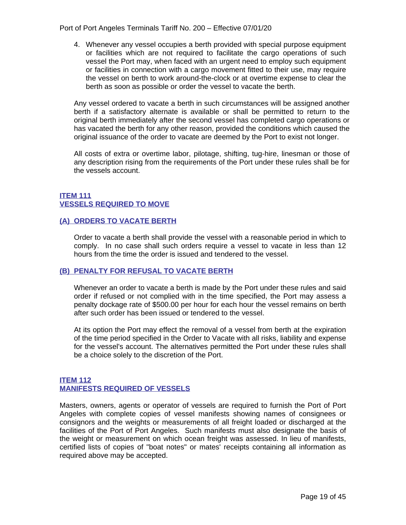Port of Port Angeles Terminals Tariff No. 200 – Effective 07/01/20

4. Whenever any vessel occupies a berth provided with special purpose equipment or facilities which are not required to facilitate the cargo operations of such vessel the Port may, when faced with an urgent need to employ such equipment or facilities in connection with a cargo movement fitted to their use, may require the vessel on berth to work around-the-clock or at overtime expense to clear the berth as soon as possible or order the vessel to vacate the berth.

Any vessel ordered to vacate a berth in such circumstances will be assigned another berth if a satisfactory alternate is available or shall be permitted to return to the original berth immediately after the second vessel has completed cargo operations or has vacated the berth for any other reason, provided the conditions which caused the original issuance of the order to vacate are deemed by the Port to exist not longer.

All costs of extra or overtime labor, pilotage, shifting, tug-hire, linesman or those of any description rising from the requirements of the Port under these rules shall be for the vessels account.

#### <span id="page-18-1"></span><span id="page-18-0"></span>**ITEM 111 VESSELS REQUIRED TO MOVE**

#### <span id="page-18-2"></span>**(A) ORDERS TO VACATE BERTH**

Order to vacate a berth shall provide the vessel with a reasonable period in which to comply. In no case shall such orders require a vessel to vacate in less than 12 hours from the time the order is issued and tendered to the vessel.

#### <span id="page-18-3"></span>**(B) PENALTY FOR REFUSAL TO VACATE BERTH**

Whenever an order to vacate a berth is made by the Port under these rules and said order if refused or not complied with in the time specified, the Port may assess a penalty dockage rate of \$500.00 per hour for each hour the vessel remains on berth after such order has been issued or tendered to the vessel.

At its option the Port may effect the removal of a vessel from berth at the expiration of the time period specified in the Order to Vacate with all risks, liability and expense for the vessel's account. The alternatives permitted the Port under these rules shall be a choice solely to the discretion of the Port.

#### <span id="page-18-5"></span><span id="page-18-4"></span>**ITEM 112 MANIFESTS REQUIRED OF VESSELS**

Masters, owners, agents or operator of vessels are required to furnish the Port of Port Angeles with complete copies of vessel manifests showing names of consignees or consignors and the weights or measurements of all freight loaded or discharged at the facilities of the Port of Port Angeles. Such manifests must also designate the basis of the weight or measurement on which ocean freight was assessed. In lieu of manifests, certified lists of copies of "boat notes" or mates' receipts containing all information as required above may be accepted.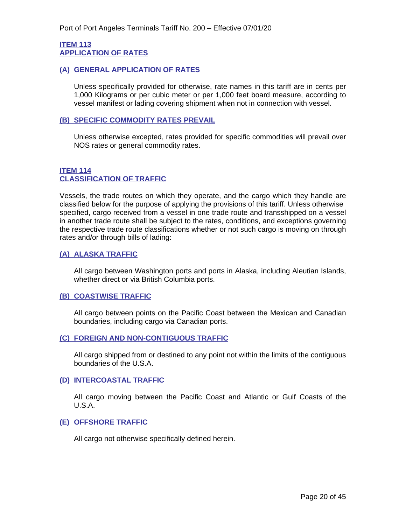#### <span id="page-19-1"></span><span id="page-19-0"></span>**ITEM 113 APPLICATION OF RATES**

#### <span id="page-19-2"></span>**(A) GENERAL APPLICATION OF RATES**

Unless specifically provided for otherwise, rate names in this tariff are in cents per 1,000 Kilograms or per cubic meter or per 1,000 feet board measure, according to vessel manifest or lading covering shipment when not in connection with vessel.

#### <span id="page-19-3"></span>**(B) SPECIFIC COMMODITY RATES PREVAIL**

Unless otherwise excepted, rates provided for specific commodities will prevail over NOS rates or general commodity rates.

#### <span id="page-19-5"></span>**ITEM 114 CLASSIFICATION OF TRAFFIC**

<span id="page-19-4"></span>Vessels, the trade routes on which they operate, and the cargo which they handle are classified below for the purpose of applying the provisions of this tariff. Unless otherwise specified, cargo received from a vessel in one trade route and transshipped on a vessel in another trade route shall be subject to the rates, conditions, and exceptions governing the respective trade route classifications whether or not such cargo is moving on through rates and/or through bills of lading:

#### <span id="page-19-6"></span>**(A) ALASKA TRAFFIC**

All cargo between Washington ports and ports in Alaska, including Aleutian Islands, whether direct or via British Columbia ports.

#### <span id="page-19-7"></span>**(B) COASTWISE TRAFFIC**

All cargo between points on the Pacific Coast between the Mexican and Canadian boundaries, including cargo via Canadian ports.

#### <span id="page-19-8"></span>**(C) FOREIGN AND NON-CONTIGUOUS TRAFFIC**

All cargo shipped from or destined to any point not within the limits of the contiguous boundaries of the U.S.A.

#### <span id="page-19-9"></span>**(D) INTERCOASTAL TRAFFIC**

All cargo moving between the Pacific Coast and Atlantic or Gulf Coasts of the U.S.A.

#### <span id="page-19-10"></span>**(E) OFFSHORE TRAFFIC**

All cargo not otherwise specifically defined herein.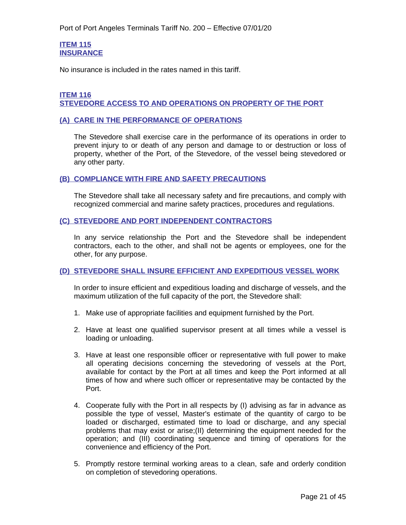#### <span id="page-20-1"></span>**ITEM 115 INSURANCE**

<span id="page-20-0"></span>No insurance is included in the rates named in this tariff.

#### <span id="page-20-3"></span>**ITEM 116 STEVEDORE ACCESS TO AND OPERATIONS ON PROPERTY OF THE PORT**

#### <span id="page-20-4"></span><span id="page-20-2"></span>**(A) CARE IN THE PERFORMANCE OF OPERATIONS**

The Stevedore shall exercise care in the performance of its operations in order to prevent injury to or death of any person and damage to or destruction or loss of property, whether of the Port, of the Stevedore, of the vessel being stevedored or any other party.

#### <span id="page-20-5"></span>**(B) COMPLIANCE WITH FIRE AND SAFETY PRECAUTIONS**

The Stevedore shall take all necessary safety and fire precautions, and comply with recognized commercial and marine safety practices, procedures and regulations.

#### <span id="page-20-6"></span>**(C) STEVEDORE AND PORT INDEPENDENT CONTRACTORS**

In any service relationship the Port and the Stevedore shall be independent contractors, each to the other, and shall not be agents or employees, one for the other, for any purpose.

#### <span id="page-20-7"></span>**(D) STEVEDORE SHALL INSURE EFFICIENT AND EXPEDITIOUS VESSEL WORK**

In order to insure efficient and expeditious loading and discharge of vessels, and the maximum utilization of the full capacity of the port, the Stevedore shall:

- 1. Make use of appropriate facilities and equipment furnished by the Port.
- 2. Have at least one qualified supervisor present at all times while a vessel is loading or unloading.
- 3. Have at least one responsible officer or representative with full power to make all operating decisions concerning the stevedoring of vessels at the Port, available for contact by the Port at all times and keep the Port informed at all times of how and where such officer or representative may be contacted by the Port.
- 4. Cooperate fully with the Port in all respects by (I) advising as far in advance as possible the type of vessel, Master's estimate of the quantity of cargo to be loaded or discharged, estimated time to load or discharge, and any special problems that may exist or arise;(II) determining the equipment needed for the operation; and (III) coordinating sequence and timing of operations for the convenience and efficiency of the Port.
- 5. Promptly restore terminal working areas to a clean, safe and orderly condition on completion of stevedoring operations.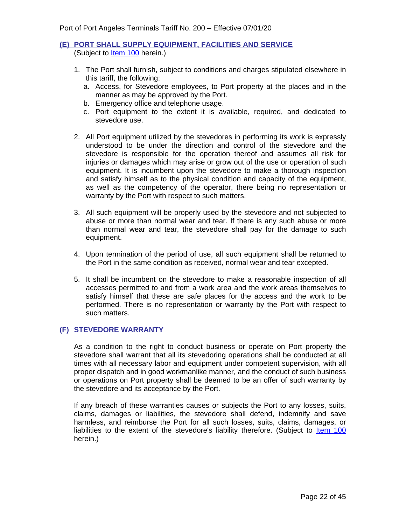#### <span id="page-21-0"></span>**(E) PORT SHALL SUPPLY EQUIPMENT, FACILITIES AND SERVICE** (Subject to **Item 100** herein.)

- 1. The Port shall furnish, subject to conditions and charges stipulated elsewhere in this tariff, the following:
	- a. Access, for Stevedore employees, to Port property at the places and in the manner as may be approved by the Port.
	- b. Emergency office and telephone usage.
	- c. Port equipment to the extent it is available, required, and dedicated to stevedore use.
- 2. All Port equipment utilized by the stevedores in performing its work is expressly understood to be under the direction and control of the stevedore and the stevedore is responsible for the operation thereof and assumes all risk for injuries or damages which may arise or grow out of the use or operation of such equipment. It is incumbent upon the stevedore to make a thorough inspection and satisfy himself as to the physical condition and capacity of the equipment, as well as the competency of the operator, there being no representation or warranty by the Port with respect to such matters.
- 3. All such equipment will be properly used by the stevedore and not subjected to abuse or more than normal wear and tear. If there is any such abuse or more than normal wear and tear, the stevedore shall pay for the damage to such equipment.
- 4. Upon termination of the period of use, all such equipment shall be returned to the Port in the same condition as received, normal wear and tear excepted.
- 5. It shall be incumbent on the stevedore to make a reasonable inspection of all accesses permitted to and from a work area and the work areas themselves to satisfy himself that these are safe places for the access and the work to be performed. There is no representation or warranty by the Port with respect to such matters.

#### <span id="page-21-1"></span>**(F) STEVEDORE WARRANTY**

As a condition to the right to conduct business or operate on Port property the stevedore shall warrant that all its stevedoring operations shall be conducted at all times with all necessary labor and equipment under competent supervision, with all proper dispatch and in good workmanlike manner, and the conduct of such business or operations on Port property shall be deemed to be an offer of such warranty by the stevedore and its acceptance by the Port.

If any breach of these warranties causes or subjects the Port to any losses, suits, claims, damages or liabilities, the stevedore shall defend, indemnify and save harmless, and reimburse the Port for all such losses, suits, claims, damages, or liabilities to the extent of the stevedore's liability therefore. (Subject to ltem 100 herein.)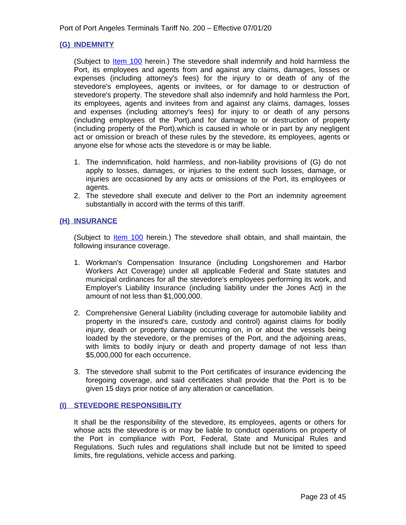#### <span id="page-22-0"></span>**(G) INDEMNITY**

(Subject to <u>Item 100</u> herein.) The stevedore shall indemnify and hold harmless the Port, its employees and agents from and against any claims, damages, losses or expenses (including attorney's fees) for the injury to or death of any of the stevedore's employees, agents or invitees, or for damage to or destruction of stevedore's property. The stevedore shall also indemnify and hold harmless the Port, its employees, agents and invitees from and against any claims, damages, losses and expenses (including attorney's fees) for injury to or death of any persons (including employees of the Port),and for damage to or destruction of property (including property of the Port),which is caused in whole or in part by any negligent act or omission or breach of these rules by the stevedore, its employees, agents or anyone else for whose acts the stevedore is or may be liable.

- 1. The indemnification, hold harmless, and non-liability provisions of (G) do not apply to losses, damages, or injuries to the extent such losses, damage, or injuries are occasioned by any acts or omissions of the Port, its employees or agents.
- 2. The stevedore shall execute and deliver to the Port an indemnity agreement substantially in accord with the terms of this tariff.

#### <span id="page-22-1"></span>**(H) INSURANCE**

(Subject to **Item 100** herein.) The stevedore shall obtain, and shall maintain, the following insurance coverage.

- 1. Workman's Compensation Insurance (including Longshoremen and Harbor Workers Act Coverage) under all applicable Federal and State statutes and municipal ordinances for all the stevedore's employees performing its work, and Employer's Liability Insurance (including liability under the Jones Act) in the amount of not less than \$1,000,000.
- 2. Comprehensive General Liability (including coverage for automobile liability and property in the insured's care, custody and control) against claims for bodily injury, death or property damage occurring on, in or about the vessels being loaded by the stevedore, or the premises of the Port, and the adjoining areas, with limits to bodily injury or death and property damage of not less than \$5,000,000 for each occurrence.
- 3. The stevedore shall submit to the Port certificates of insurance evidencing the foregoing coverage, and said certificates shall provide that the Port is to be given 15 days prior notice of any alteration or cancellation.

#### <span id="page-22-2"></span>**(I) STEVEDORE RESPONSIBILITY**

It shall be the responsibility of the stevedore, its employees, agents or others for whose acts the stevedore is or may be liable to conduct operations on property of the Port in compliance with Port, Federal, State and Municipal Rules and Regulations. Such rules and regulations shall include but not be limited to speed limits, fire regulations, vehicle access and parking.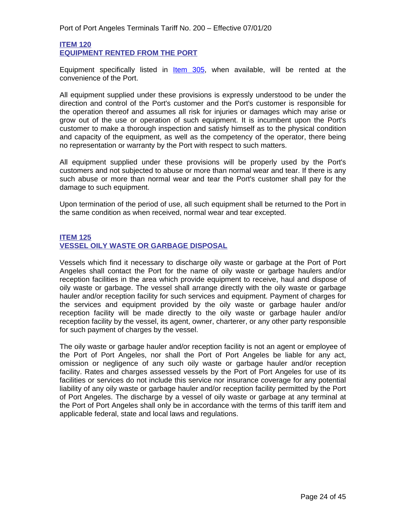#### <span id="page-23-1"></span>**ITEM 120 EQUIPMENT RENTED FROM THE PORT**

<span id="page-23-0"></span>Equipment specifically listed in **Item 305**, when available, will be rented at the convenience of the Port.

All equipment supplied under these provisions is expressly understood to be under the direction and control of the Port's customer and the Port's customer is responsible for the operation thereof and assumes all risk for injuries or damages which may arise or grow out of the use or operation of such equipment. It is incumbent upon the Port's customer to make a thorough inspection and satisfy himself as to the physical condition and capacity of the equipment, as well as the competency of the operator, there being no representation or warranty by the Port with respect to such matters.

All equipment supplied under these provisions will be properly used by the Port's customers and not subjected to abuse or more than normal wear and tear. If there is any such abuse or more than normal wear and tear the Port's customer shall pay for the damage to such equipment.

Upon termination of the period of use, all such equipment shall be returned to the Port in the same condition as when received, normal wear and tear excepted.

#### <span id="page-23-3"></span>**ITEM 125 VESSEL OILY WASTE OR GARBAGE DISPOSAL**

<span id="page-23-2"></span>Vessels which find it necessary to discharge oily waste or garbage at the Port of Port Angeles shall contact the Port for the name of oily waste or garbage haulers and/or reception facilities in the area which provide equipment to receive, haul and dispose of oily waste or garbage. The vessel shall arrange directly with the oily waste or garbage hauler and/or reception facility for such services and equipment. Payment of charges for the services and equipment provided by the oily waste or garbage hauler and/or reception facility will be made directly to the oily waste or garbage hauler and/or reception facility by the vessel, its agent, owner, charterer, or any other party responsible for such payment of charges by the vessel.

The oily waste or garbage hauler and/or reception facility is not an agent or employee of the Port of Port Angeles, nor shall the Port of Port Angeles be liable for any act, omission or negligence of any such oily waste or garbage hauler and/or reception facility. Rates and charges assessed vessels by the Port of Port Angeles for use of its facilities or services do not include this service nor insurance coverage for any potential liability of any oily waste or garbage hauler and/or reception facility permitted by the Port of Port Angeles. The discharge by a vessel of oily waste or garbage at any terminal at the Port of Port Angeles shall only be in accordance with the terms of this tariff item and applicable federal, state and local laws and regulations.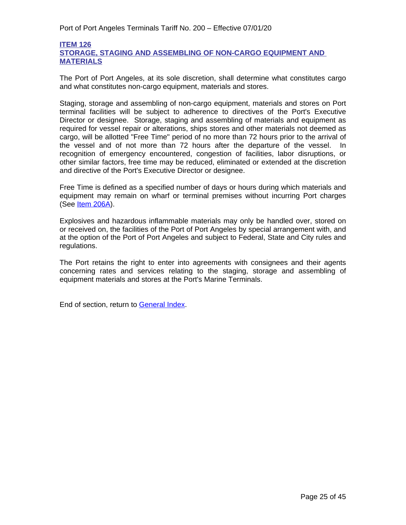#### <span id="page-24-1"></span><span id="page-24-0"></span>**ITEM 126 STORAGE, STAGING AND ASSEMBLING OF NON-CARGO EQUIPMENT AND MATERIALS**

The Port of Port Angeles, at its sole discretion, shall determine what constitutes cargo and what constitutes non-cargo equipment, materials and stores.

Staging, storage and assembling of non-cargo equipment, materials and stores on Port terminal facilities will be subject to adherence to directives of the Port's Executive Director or designee. Storage, staging and assembling of materials and equipment as required for vessel repair or alterations, ships stores and other materials not deemed as cargo, will be allotted "Free Time" period of no more than 72 hours prior to the arrival of the vessel and of not more than 72 hours after the departure of the vessel. In recognition of emergency encountered, congestion of facilities, labor disruptions, or other similar factors, free time may be reduced, eliminated or extended at the discretion and directive of the Port's Executive Director or designee.

Free Time is defined as a specified number of days or hours during which materials and equipment may remain on wharf or terminal premises without incurring Port charges (See <u>Item 206A</u>).

Explosives and hazardous inflammable materials may only be handled over, stored on or received on, the facilities of the Port of Port Angeles by special arrangement with, and at the option of the Port of Port Angeles and subject to Federal, State and City rules and regulations.

The Port retains the right to enter into agreements with consignees and their agents concerning rates and services relating to the staging, storage and assembling of equipment materials and stores at the Port's Marine Terminals.

End of section, return to General Index.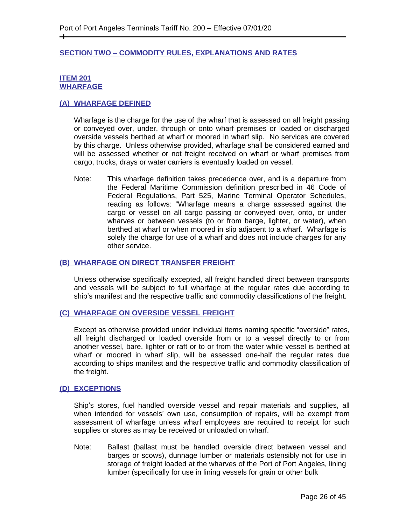#### <span id="page-25-0"></span>**SECTION TWO – COMMODITY RULES, EXPLANATIONS AND RATES**

#### <span id="page-25-2"></span>**ITEM 201 WHARFAGE**

 $\pm$ 

#### <span id="page-25-3"></span><span id="page-25-1"></span>**(A) WHARFAGE DEFINED**

Wharfage is the charge for the use of the wharf that is assessed on all freight passing or conveyed over, under, through or onto wharf premises or loaded or discharged overside vessels berthed at wharf or moored in wharf slip. No services are covered by this charge. Unless otherwise provided, wharfage shall be considered earned and will be assessed whether or not freight received on wharf or wharf premises from cargo, trucks, drays or water carriers is eventually loaded on vessel.

Note: This wharfage definition takes precedence over, and is a departure from the Federal Maritime Commission definition prescribed in 46 Code of Federal Regulations, Part 525, Marine Terminal Operator Schedules, reading as follows: "Wharfage means a charge assessed against the cargo or vessel on all cargo passing or conveyed over, onto, or under wharves or between vessels (to or from barge, lighter, or water), when berthed at wharf or when moored in slip adjacent to a wharf. Wharfage is solely the charge for use of a wharf and does not include charges for any other service.

#### <span id="page-25-4"></span>**(B) WHARFAGE ON DIRECT TRANSFER FREIGHT**

Unless otherwise specifically excepted, all freight handled direct between transports and vessels will be subject to full wharfage at the regular rates due according to ship's manifest and the respective traffic and commodity classifications of the freight.

#### <span id="page-25-5"></span>**(C) WHARFAGE ON OVERSIDE VESSEL FREIGHT**

Except as otherwise provided under individual items naming specific "overside" rates, all freight discharged or loaded overside from or to a vessel directly to or from another vessel, bare, lighter or raft or to or from the water while vessel is berthed at wharf or moored in wharf slip, will be assessed one-half the regular rates due according to ships manifest and the respective traffic and commodity classification of the freight.

#### <span id="page-25-6"></span>**(D) EXCEPTIONS**

Ship's stores, fuel handled overside vessel and repair materials and supplies, all when intended for vessels' own use, consumption of repairs, will be exempt from assessment of wharfage unless wharf employees are required to receipt for such supplies or stores as may be received or unloaded on wharf.

Note: Ballast (ballast must be handled overside direct between vessel and barges or scows), dunnage lumber or materials ostensibly not for use in storage of freight loaded at the wharves of the Port of Port Angeles, lining lumber (specifically for use in lining vessels for grain or other bulk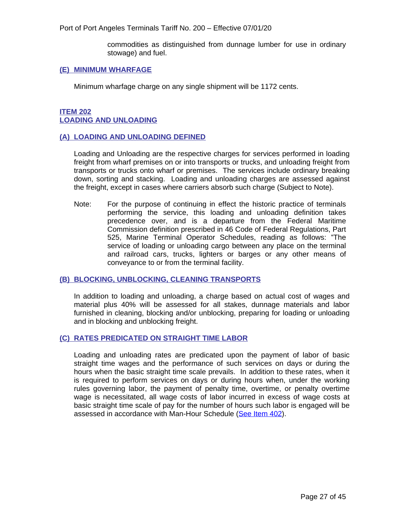commodities as distinguished from dunnage lumber for use in ordinary stowage) and fuel.

#### <span id="page-26-0"></span>**(E) MINIMUM WHARFAGE**

Minimum wharfage charge on any single shipment will be 1172 cents.

#### <span id="page-26-2"></span>**ITEM 202 LOADING AND UNLOADING**

#### <span id="page-26-3"></span><span id="page-26-1"></span>**(A) LOADING AND UNLOADING DEFINED**

Loading and Unloading are the respective charges for services performed in loading freight from wharf premises on or into transports or trucks, and unloading freight from transports or trucks onto wharf or premises. The services include ordinary breaking down, sorting and stacking. Loading and unloading charges are assessed against the freight, except in cases where carriers absorb such charge (Subject to Note).

Note: For the purpose of continuing in effect the historic practice of terminals performing the service, this loading and unloading definition takes precedence over, and is a departure from the Federal Maritime Commission definition prescribed in 46 Code of Federal Regulations, Part 525, Marine Terminal Operator Schedules, reading as follows: "The service of loading or unloading cargo between any place on the terminal and railroad cars, trucks, lighters or barges or any other means of conveyance to or from the terminal facility.

#### <span id="page-26-4"></span>**(B) BLOCKING, UNBLOCKING, CLEANING TRANSPORTS**

In addition to loading and unloading, a charge based on actual cost of wages and material plus 40% will be assessed for all stakes, dunnage materials and labor furnished in cleaning, blocking and/or unblocking, preparing for loading or unloading and in blocking and unblocking freight.

#### <span id="page-26-5"></span>**(C) RATES PREDICATED ON STRAIGHT TIME LABOR**

Loading and unloading rates are predicated upon the payment of labor of basic straight time wages and the performance of such services on days or during the hours when the basic straight time scale prevails. In addition to these rates, when it is required to perform services on days or during hours when, under the working rules governing labor, the payment of penalty time, overtime, or penalty overtime wage is necessitated, all wage costs of labor incurred in excess of wage costs at basic straight time scale of pay for the number of hours such labor is engaged will be assessed in accordance with Man-Hour Schedule ([See Item 402\).](#page-43-1)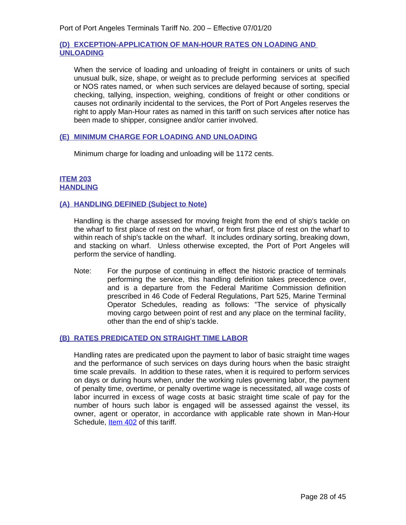#### **(D) EXCEPTION-APPLICATION OF MAN-HOUR RATES ON LOADING AND UNLOADING**

When the service of loading and unloading of freight in containers or units of such unusual bulk, size, shape, or weight as to preclude performing services at specified or NOS rates named, or when such services are delayed because of sorting, special checking, tallying, inspection, weighing, conditions of freight or other conditions or causes not ordinarily incidental to the services, the Port of Port Angeles reserves the right to apply Man-Hour rates as named in this tariff on such services after notice has been made to shipper, consignee and/or carrier involved.

#### <span id="page-27-0"></span>**(E) MINIMUM CHARGE FOR LOADING AND UNLOADING**

Minimum charge for loading and unloading will be 1172 cents.

#### <span id="page-27-2"></span>**ITEM 203 HANDLING**

#### <span id="page-27-3"></span><span id="page-27-1"></span>**(A) HANDLING DEFINED (Subject to Note)**

Handling is the charge assessed for moving freight from the end of ship's tackle on the wharf to first place of rest on the wharf, or from first place of rest on the wharf to within reach of ship's tackle on the wharf. It includes ordinary sorting, breaking down, and stacking on wharf. Unless otherwise excepted, the Port of Port Angeles will perform the service of handling.

Note: For the purpose of continuing in effect the historic practice of terminals performing the service, this handling definition takes precedence over, and is a departure from the Federal Maritime Commission definition prescribed in 46 Code of Federal Regulations, Part 525, Marine Terminal Operator Schedules, reading as follows: "The service of physically moving cargo between point of rest and any place on the terminal facility, other than the end of ship's tackle.

#### <span id="page-27-4"></span>**(B) RATES PREDICATED ON STRAIGHT TIME LABOR**

Handling rates are predicated upon the payment to labor of basic straight time wages and the performance of such services on days during hours when the basic straight time scale prevails. In addition to these rates, when it is required to perform services on days or during hours when, under the working rules governing labor, the payment of penalty time, overtime, or penalty overtime wage is necessitated, all wage costs of labor incurred in excess of wage costs at basic straight time scale of pay for the number of hours such labor is engaged will be assessed against the vessel, its owner, agent or operator, in accordance with applicable rate shown in Man-Hour Schedule, **Item 402** of this tariff.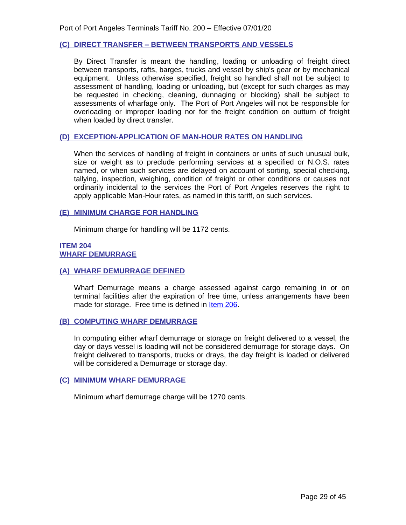#### <span id="page-28-0"></span>**(C) DIRECT TRANSFER – BETWEEN TRANSPORTS AND VESSELS**

By Direct Transfer is meant the handling, loading or unloading of freight direct between transports, rafts, barges, trucks and vessel by ship's gear or by mechanical equipment. Unless otherwise specified, freight so handled shall not be subject to assessment of handling, loading or unloading, but (except for such charges as may be requested in checking, cleaning, dunnaging or blocking) shall be subject to assessments of wharfage only. The Port of Port Angeles will not be responsible for overloading or improper loading nor for the freight condition on outturn of freight when loaded by direct transfer.

#### **(D) EXCEPTION-APPLICATION OF MAN-HOUR RATES ON HANDLING**

When the services of handling of freight in containers or units of such unusual bulk, size or weight as to preclude performing services at a specified or N.O.S. rates named, or when such services are delayed on account of sorting, special checking, tallying, inspection, weighing, condition of freight or other conditions or causes not ordinarily incidental to the services the Port of Port Angeles reserves the right to apply applicable Man-Hour rates, as named in this tariff, on such services.

#### <span id="page-28-1"></span>**(E) MINIMUM CHARGE FOR HANDLING**

Minimum charge for handling will be 1172 cents.

#### <span id="page-28-3"></span>**ITEM 204 WHARF DEMURRAGE**

#### <span id="page-28-4"></span><span id="page-28-2"></span>**(A) WHARF DEMURRAGE DEFINED**

Wharf Demurrage means a charge assessed against cargo remaining in or on terminal facilities after the expiration of free time, unless arrangements have been made for storage. Free time is defined in [Item 206.](#page-29-2)

#### <span id="page-28-5"></span>**(B) COMPUTING WHARF DEMURRAGE**

In computing either wharf demurrage or storage on freight delivered to a vessel, the day or days vessel is loading will not be considered demurrage for storage days. On freight delivered to transports, trucks or drays, the day freight is loaded or delivered will be considered a Demurrage or storage day.

#### <span id="page-28-6"></span>**(C) MINIMUM WHARF DEMURRAGE**

<span id="page-28-7"></span>Minimum wharf demurrage charge will be 1270 cents.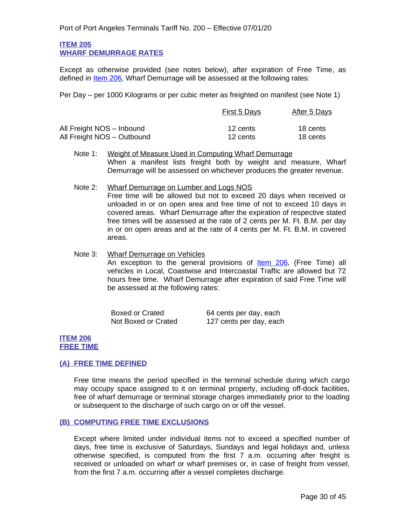#### **ITEM 205 WHARF DEMURRAGE RATES**

<span id="page-29-0"></span>Except as otherwise provided (see notes below), after expiration of Free Time, as defined in [Item 206,](#page-29-2) Wharf Demurrage will be assessed at the following rates:

Per Day – per 1000 Kilograms or per cubic meter as freighted on manifest (see Note 1)

|                            | First 5 Days | After 5 Days |
|----------------------------|--------------|--------------|
| All Freight NOS - Inbound  | 12 cents     | 18 cents     |
| All Freight NOS - Outbound | 12 cents     | 18 cents     |

- Note 1: Weight of Measure Used in Computing Wharf Demurrage When a manifest lists freight both by weight and measure, Wharf Demurrage will be assessed on whichever produces the greater revenue.
- Note 2: Wharf Demurrage on Lumber and Logs NOS Free time will be allowed but not to exceed 20 days when received or unloaded in or on open area and free time of not to exceed 10 days in covered areas. Wharf Demurrage after the expiration of respective stated free times will be assessed at the rate of 2 cents per M. Ft. B.M. per day in or on open areas and at the rate of 4 cents per M. Ft. B.M. in covered areas.
- Note 3: Wharf Demurrage on Vehicles An exception to the general provisions of **[Item 206](#page-29-2)**, (Free Time) all vehicles in Local, Coastwise and Intercoastal Traffic are allowed but 72 hours free time. Wharf Demurrage after expiration of said Free Time will be assessed at the following rates:

| Boxed or Crated     | 64 cents per day, each  |
|---------------------|-------------------------|
| Not Boxed or Crated | 127 cents per day, each |

#### <span id="page-29-2"></span>**ITEM 206 FREE TIME**

#### <span id="page-29-3"></span><span id="page-29-1"></span>**(A) FREE TIME DEFINED**

Free time means the period specified in the terminal schedule during which cargo may occupy space assigned to it on terminal property, including off-dock facilities, free of wharf demurrage or terminal storage charges immediately prior to the loading or subsequent to the discharge of such cargo on or off the vessel.

#### <span id="page-29-4"></span>**(B) COMPUTING FREE TIME EXCLUSIONS**

Except where limited under individual items not to exceed a specified number of days, free time is exclusive of Saturdays, Sundays and legal holidays and, unless otherwise specified, is computed from the first 7 a.m. occurring after freight is received or unloaded on wharf or wharf premises or, in case of freight from vessel, from the first 7 a.m. occurring after a vessel completes discharge.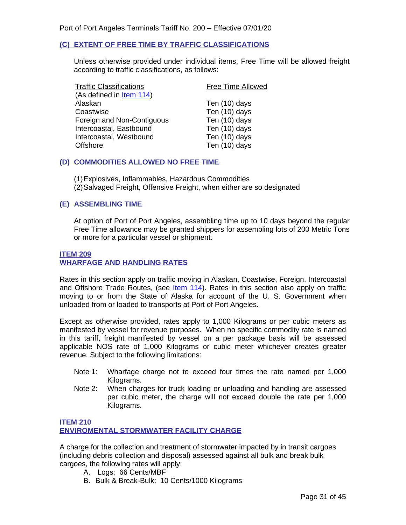#### <span id="page-30-0"></span>**(C) EXTENT OF FREE TIME BY TRAFFIC CLASSIFICATIONS**

Unless otherwise provided under individual items, Free Time will be allowed freight according to traffic classifications, as follows:

| <b>Free Time Allowed</b> |
|--------------------------|
|                          |
| Ten (10) days            |
| Ten (10) days            |
| Ten (10) days            |
| Ten (10) days            |
| Ten (10) days            |
| Ten (10) days            |
|                          |

#### <span id="page-30-1"></span>**(D) COMMODITIES ALLOWED NO FREE TIME**

- (1)Explosives, Inflammables, Hazardous Commodities
- (2)Salvaged Freight, Offensive Freight, when either are so designated

#### <span id="page-30-2"></span>**(E) ASSEMBLING TIME**

At option of Port of Port Angeles, assembling time up to 10 days beyond the regular Free Time allowance may be granted shippers for assembling lots of 200 Metric Tons or more for a particular vessel or shipment.

#### <span id="page-30-4"></span><span id="page-30-3"></span>**ITEM 209 WHARFAGE AND HANDLING RATES**

Rates in this section apply on traffic moving in Alaskan, Coastwise, Foreign, Intercoastal and Offshore Trade Routes, (see  $Item 114$ ). Rates in this section also apply on traffic</u> moving to or from the State of Alaska for account of the U. S. Government when unloaded from or loaded to transports at Port of Port Angeles.

Except as otherwise provided, rates apply to 1,000 Kilograms or per cubic meters as manifested by vessel for revenue purposes. When no specific commodity rate is named in this tariff, freight manifested by vessel on a per package basis will be assessed applicable NOS rate of 1,000 Kilograms or cubic meter whichever creates greater revenue. Subject to the following limitations:

- Note 1: Wharfage charge not to exceed four times the rate named per 1,000 Kilograms.
- Note 2: When charges for truck loading or unloading and handling are assessed per cubic meter, the charge will not exceed double the rate per 1,000 Kilograms.

#### **ITEM 210 ENVIROMENTAL STORMWATER FACILITY CHARGE**

A charge for the collection and treatment of stormwater impacted by in transit cargoes (including debris collection and disposal) assessed against all bulk and break bulk cargoes, the following rates will apply:

- A. Logs: 66 Cents/MBF
- B. Bulk & Break-Bulk: 10 Cents/1000 Kilograms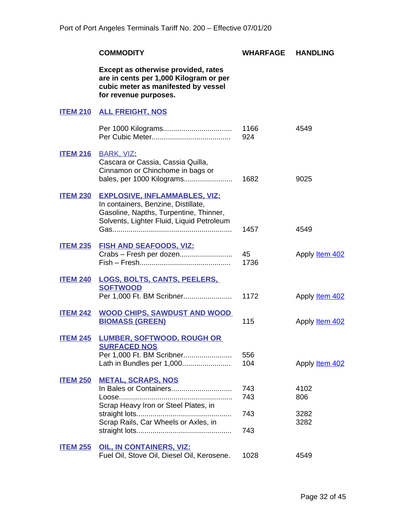<span id="page-31-15"></span><span id="page-31-14"></span><span id="page-31-13"></span><span id="page-31-12"></span><span id="page-31-11"></span><span id="page-31-10"></span><span id="page-31-9"></span><span id="page-31-8"></span><span id="page-31-7"></span><span id="page-31-6"></span><span id="page-31-5"></span><span id="page-31-4"></span><span id="page-31-3"></span><span id="page-31-2"></span><span id="page-31-1"></span><span id="page-31-0"></span>

|                 | <b>COMMODITY</b>                                                                                                                                                   | WHARFAGE                 | <b>HANDLING</b>             |
|-----------------|--------------------------------------------------------------------------------------------------------------------------------------------------------------------|--------------------------|-----------------------------|
|                 | Except as otherwise provided, rates<br>are in cents per 1,000 Kilogram or per<br>cubic meter as manifested by vessel<br>for revenue purposes.                      |                          |                             |
|                 | <b>ITEM 210 ALL FREIGHT, NOS</b>                                                                                                                                   |                          |                             |
|                 |                                                                                                                                                                    | 1166<br>924              | 4549                        |
| <b>ITEM 216</b> | <b>BARK, VIZ:</b><br>Cascara or Cassia, Cassia Quilla,<br>Cinnamon or Chinchome in bags or<br>bales, per 1000 Kilograms                                            | 1682                     | 9025                        |
| <b>ITEM 230</b> | <b>EXPLOSIVE, INFLAMMABLES, VIZ:</b><br>In containers, Benzine, Distillate,<br>Gasoline, Napths, Turpentine, Thinner,<br>Solvents, Lighter Fluid, Liquid Petroleum | 1457                     | 4549                        |
| <b>ITEM 235</b> | <u>FISH AND SEAFOODS, VIZ:</u><br>Crabs - Fresh per dozen                                                                                                          | 45<br>1736               | Apply <b>Item 402</b>       |
| <b>ITEM 240</b> | <u>LOGS, BOLTS, CANTS, PEELERS,</u><br><b>SOFTWOOD</b><br>Per 1,000 Ft. BM Scribner                                                                                | 1172                     | Apply <b>Item 402</b>       |
| <b>ITEM 242</b> | <b>WOOD CHIPS, SAWDUST AND WOOD</b><br><b>BIOMASS (GREEN)</b>                                                                                                      | 115                      | Apply <b>Item 402</b>       |
| <b>ITEM 245</b> | <b>LUMBER, SOFTWOOD, ROUGH OR</b><br><b>SURFACED NOS</b><br>Per 1,000 Ft. BM Scribner<br>Lath in Bundles per 1,000                                                 | 556<br>104               | Apply ltem 402              |
| <b>ITEM 250</b> | <b>METAL, SCRAPS, NOS</b><br>In Bales or Containers<br>Scrap Heavy Iron or Steel Plates, in<br>Scrap Rails, Car Wheels or Axles, in                                | 743<br>743<br>743<br>743 | 4102<br>806<br>3282<br>3282 |
| <b>ITEM 255</b> | <b>OIL, IN CONTAINERS, VIZ:</b><br>Fuel Oil, Stove Oil, Diesel Oil, Kerosene.                                                                                      | 1028                     | 4549                        |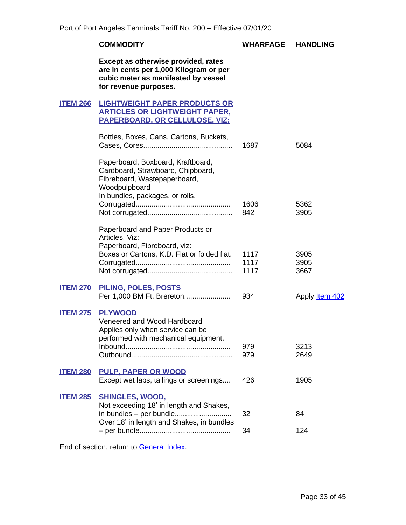#### **COMMODITY WHARFAGE HANDLING**

**Except as otherwise provided, rates are in cents per 1,000 Kilogram or per cubic meter as manifested by vessel for revenue purposes.**

#### <span id="page-32-1"></span><span id="page-32-0"></span>**ITEM 266 LIGHTWEIGHT PAPER PRODUCTS OR ARTICLES OR LIGHTWEIGHT PAPER, PAPERBOARD, OR CELLULOSE, VIZ:**

|                 | Bottles, Boxes, Cans, Cartons, Buckets,                                                                                   | 1687        | 5084                  |
|-----------------|---------------------------------------------------------------------------------------------------------------------------|-------------|-----------------------|
|                 | Paperboard, Boxboard, Kraftboard,<br>Cardboard, Strawboard, Chipboard,<br>Fibreboard, Wastepaperboard,<br>Woodpulpboard   |             |                       |
|                 | In bundles, packages, or rolls,                                                                                           |             |                       |
|                 |                                                                                                                           | 1606<br>842 | 5362<br>3905          |
|                 | Paperboard and Paper Products or<br>Articles, Viz:                                                                        |             |                       |
|                 | Paperboard, Fibreboard, viz:                                                                                              |             |                       |
|                 | Boxes or Cartons, K.D. Flat or folded flat.                                                                               | 1117        | 3905                  |
|                 |                                                                                                                           | 1117        | 3905                  |
|                 |                                                                                                                           | 1117        | 3667                  |
| <b>ITEM 270</b> | <b>PILING, POLES, POSTS</b>                                                                                               |             |                       |
|                 | Per 1,000 BM Ft. Brereton                                                                                                 | 934         | Apply <b>Item 402</b> |
| <b>ITEM 275</b> | <b>PLYWOOD</b><br>Veneered and Wood Hardboard<br>Applies only when service can be<br>performed with mechanical equipment. | 979         | 3213                  |
|                 |                                                                                                                           | 979         | 2649                  |
| <b>ITEM 280</b> | <b>PULP, PAPER OR WOOD</b>                                                                                                |             |                       |
|                 | Except wet laps, tailings or screenings                                                                                   | 426         | 1905                  |
| <b>ITEM 285</b> | <b>SHINGLES, WOOD,</b><br>Not exceeding 18' in length and Shakes,                                                         |             |                       |
|                 | Over 18' in length and Shakes, in bundles                                                                                 | 32          | 84                    |
|                 |                                                                                                                           | 34          | 124                   |

<span id="page-32-9"></span><span id="page-32-8"></span><span id="page-32-7"></span><span id="page-32-6"></span><span id="page-32-5"></span><span id="page-32-4"></span><span id="page-32-3"></span><span id="page-32-2"></span>End of section, return to General Index.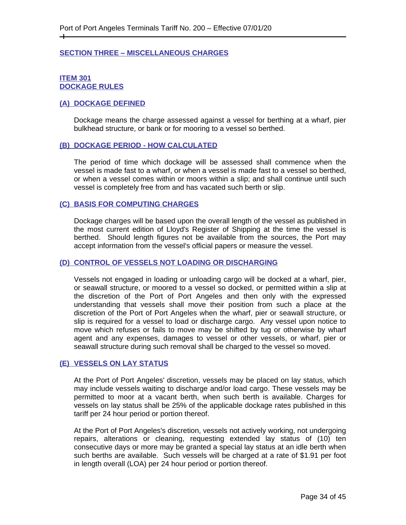#### <span id="page-33-0"></span>**SECTION THREE – MISCELLANEOUS CHARGES**

#### <span id="page-33-2"></span><span id="page-33-1"></span>**ITEM 301 DOCKAGE RULES**

 $\pm$ 

#### <span id="page-33-3"></span>**(A) DOCKAGE DEFINED**

Dockage means the charge assessed against a vessel for berthing at a wharf, pier bulkhead structure, or bank or for mooring to a vessel so berthed.

#### <span id="page-33-4"></span>**(B) DOCKAGE PERIOD - HOW CALCULATED**

The period of time which dockage will be assessed shall commence when the vessel is made fast to a wharf, or when a vessel is made fast to a vessel so berthed, or when a vessel comes within or moors within a slip; and shall continue until such vessel is completely free from and has vacated such berth or slip.

#### <span id="page-33-5"></span>**(C) BASIS FOR COMPUTING CHARGES**

Dockage charges will be based upon the overall length of the vessel as published in the most current edition of Lloyd's Register of Shipping at the time the vessel is berthed. Should length figures not be available from the sources, the Port may accept information from the vessel's official papers or measure the vessel.

#### <span id="page-33-6"></span>**(D) CONTROL OF VESSELS NOT LOADING OR DISCHARGING**

Vessels not engaged in loading or unloading cargo will be docked at a wharf, pier, or seawall structure, or moored to a vessel so docked, or permitted within a slip at the discretion of the Port of Port Angeles and then only with the expressed understanding that vessels shall move their position from such a place at the discretion of the Port of Port Angeles when the wharf, pier or seawall structure, or slip is required for a vessel to load or discharge cargo. Any vessel upon notice to move which refuses or fails to move may be shifted by tug or otherwise by wharf agent and any expenses, damages to vessel or other vessels, or wharf, pier or seawall structure during such removal shall be charged to the vessel so moved.

#### <span id="page-33-7"></span>**(E) VESSELS ON LAY STATUS**

At the Port of Port Angeles' discretion, vessels may be placed on lay status, which may include vessels waiting to discharge and/or load cargo. These vessels may be permitted to moor at a vacant berth, when such berth is available. Charges for vessels on lay status shall be 25% of the applicable dockage rates published in this tariff per 24 hour period or portion thereof.

At the Port of Port Angeles's discretion, vessels not actively working, not undergoing repairs, alterations or cleaning, requesting extended lay status of (10) ten consecutive days or more may be granted a special lay status at an idle berth when such berths are available. Such vessels will be charged at a rate of \$1.91 per foot in length overall (LOA) per 24 hour period or portion thereof.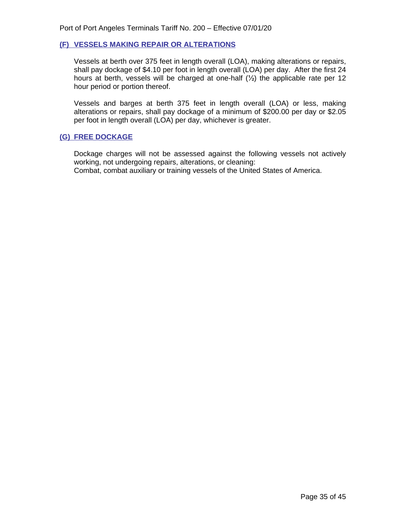#### <span id="page-34-0"></span>**(F) VESSELS MAKING REPAIR OR ALTERATIONS**

Vessels at berth over 375 feet in length overall (LOA), making alterations or repairs, shall pay dockage of \$4.10 per foot in length overall (LOA) per day. After the first 24 hours at berth, vessels will be charged at one-half (½) the applicable rate per 12 hour period or portion thereof.

Vessels and barges at berth 375 feet in length overall (LOA) or less, making alterations or repairs, shall pay dockage of a minimum of \$200.00 per day or \$2.05 per foot in length overall (LOA) per day, whichever is greater.

#### <span id="page-34-1"></span>**(G) FREE DOCKAGE**

<span id="page-34-2"></span>Dockage charges will not be assessed against the following vessels not actively working, not undergoing repairs, alterations, or cleaning: Combat, combat auxiliary or training vessels of the United States of America.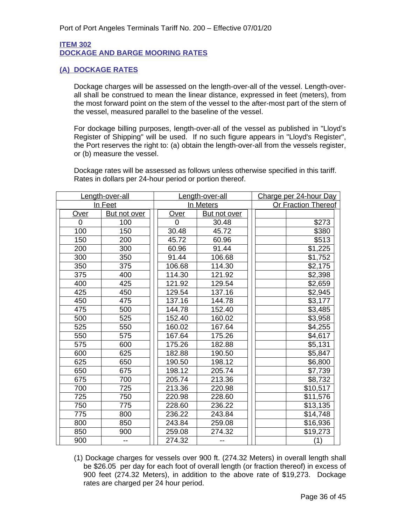#### **ITEM 302 DOCKAGE AND BARGE MOORING RATES**

#### <span id="page-35-1"></span><span id="page-35-0"></span>**(A) DOCKAGE RATES**

Dockage charges will be assessed on the length-over-all of the vessel. Length-overall shall be construed to mean the linear distance, expressed in feet (meters), from the most forward point on the stem of the vessel to the after-most part of the stern of the vessel, measured parallel to the baseline of the vessel.

For dockage billing purposes, length-over-all of the vessel as published in "Lloyd's Register of Shipping" will be used. If no such figure appears in "Lloyd's Register", the Port reserves the right to: (a) obtain the length-over-all from the vessels register, or (b) measure the vessel.

Dockage rates will be assessed as follows unless otherwise specified in this tariff. Rates in dollars per 24-hour period or portion thereof.

|      | Length-over-all |        | Length-over-all | Charge per 24-hour Day     |
|------|-----------------|--------|-----------------|----------------------------|
|      | In Feet         |        | In Meters       | <b>Or Fraction Thereof</b> |
| Over | But not over    | Over   | But not over    |                            |
| 0    | 100             | 0      | 30.48           | \$273                      |
| 100  | 150             | 30.48  | 45.72           | \$380                      |
| 150  | 200             | 45.72  | 60.96           | \$513                      |
| 200  | 300             | 60.96  | 91.44           | \$1,225                    |
| 300  | 350             | 91.44  | 106.68          | \$1,752                    |
| 350  | 375             | 106.68 | 114.30          | \$2,175                    |
| 375  | 400             | 114.30 | 121.92          | \$2,398                    |
| 400  | 425             | 121.92 | 129.54          | \$2,659                    |
| 425  | 450             | 129.54 | 137.16          | \$2,945                    |
| 450  | 475             | 137.16 | 144.78          | \$3,177                    |
| 475  | 500             | 144.78 | 152.40          | \$3,485                    |
| 500  | 525             | 152.40 | 160.02          | \$3,958                    |
| 525  | 550             | 160.02 | 167.64          | \$4,255                    |
| 550  | 575             | 167.64 | 175.26          | \$4,617                    |
| 575  | 600             | 175.26 | 182.88          | \$5,131                    |
| 600  | 625             | 182.88 | 190.50          | \$5,847                    |
| 625  | 650             | 190.50 | 198.12          | \$6,800                    |
| 650  | 675             | 198.12 | 205.74          | \$7,739                    |
| 675  | 700             | 205.74 | 213.36          | \$8,732                    |
| 700  | 725             | 213.36 | 220.98          | \$10,517                   |
| 725  | 750             | 220.98 | 228.60          | \$11,576                   |
| 750  | 775             | 228.60 | 236.22          | \$13,135                   |
| 775  | 800             | 236.22 | 243.84          | \$14,748                   |
| 800  | 850             | 243.84 | 259.08          | \$16,936                   |
| 850  | 900             | 259.08 | 274.32          | \$19,273                   |
| 900  |                 | 274.32 |                 | (1)                        |

(1) Dockage charges for vessels over 900 ft. (274.32 Meters) in overall length shall be \$26.05 per day for each foot of overall length (or fraction thereof) in excess of 900 feet (274.32 Meters), in addition to the above rate of \$19,273. Dockage rates are charged per 24 hour period.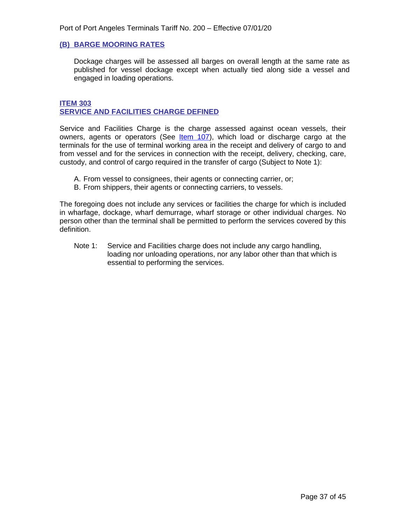#### <span id="page-36-0"></span>**(B) BARGE MOORING RATES**

Dockage charges will be assessed all barges on overall length at the same rate as published for vessel dockage except when actually tied along side a vessel and engaged in loading operations.

#### <span id="page-36-2"></span>**ITEM 303 SERVICE AND FACILITIES CHARGE DEFINED**

<span id="page-36-1"></span>Service and Facilities Charge is the charge assessed against ocean vessels, their owners, agents or operators (See *Item 107)*, which load or discharge cargo at the terminals for the use of terminal working area in the receipt and delivery of cargo to and from vessel and for the services in connection with the receipt, delivery, checking, care, custody, and control of cargo required in the transfer of cargo (Subject to Note 1):

- A. From vessel to consignees, their agents or connecting carrier, or;
- B. From shippers, their agents or connecting carriers, to vessels.

The foregoing does not include any services or facilities the charge for which is included in wharfage, dockage, wharf demurrage, wharf storage or other individual charges. No person other than the terminal shall be permitted to perform the services covered by this definition.

Note 1: Service and Facilities charge does not include any cargo handling, loading nor unloading operations, nor any labor other than that which is essential to performing the services.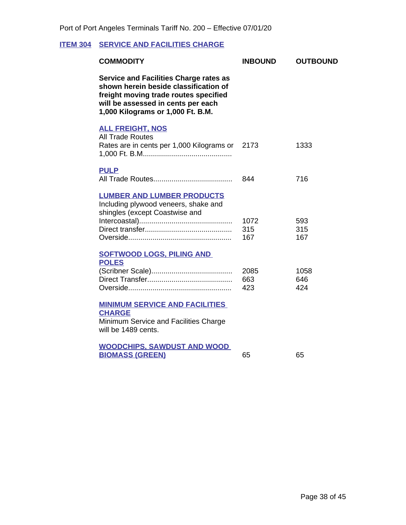## <span id="page-37-1"></span>**ITEM 304 SERVICE AND FACILITIES CHARGE**

<span id="page-37-4"></span><span id="page-37-3"></span><span id="page-37-2"></span><span id="page-37-0"></span>

| <b>COMMODITY</b>                                                                                                                                                                                           | <b>INBOUND</b>     | <b>OUTBOUND</b>    |
|------------------------------------------------------------------------------------------------------------------------------------------------------------------------------------------------------------|--------------------|--------------------|
| <b>Service and Facilities Charge rates as</b><br>shown herein beside classification of<br>freight moving trade routes specified<br>will be assessed in cents per each<br>1,000 Kilograms or 1,000 Ft. B.M. |                    |                    |
| <b>ALL FREIGHT, NOS</b><br><b>All Trade Routes</b><br>Rates are in cents per 1,000 Kilograms or 2173                                                                                                       |                    | 1333               |
| <b>PULP</b>                                                                                                                                                                                                | 844                | 716                |
| <b>LUMBER AND LUMBER PRODUCTS</b><br>Including plywood veneers, shake and<br>shingles (except Coastwise and                                                                                                | 1072<br>315<br>167 | 593<br>315<br>167  |
| <b>SOFTWOOD LOGS, PILING AND</b><br><b>POLES</b>                                                                                                                                                           | 2085<br>663<br>423 | 1058<br>646<br>424 |
| <b>MINIMUM SERVICE AND FACILITIES</b><br><b>CHARGE</b><br>Minimum Service and Facilities Charge<br>will be 1489 cents.                                                                                     |                    |                    |
| <b>WOODCHIPS, SAWDUST AND WOOD</b><br><b>BIOMASS (GREEN)</b>                                                                                                                                               | 65                 | 65                 |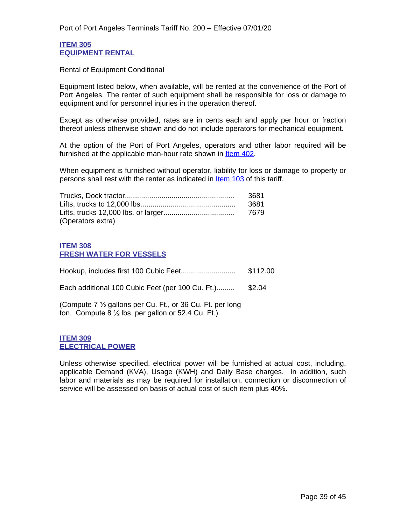#### <span id="page-38-1"></span>**ITEM 305 EQUIPMENT RENTAL**

#### <span id="page-38-0"></span>Rental of Equipment Conditional

Equipment listed below, when available, will be rented at the convenience of the Port of Port Angeles. The renter of such equipment shall be responsible for loss or damage to equipment and for personnel injuries in the operation thereof.

Except as otherwise provided, rates are in cents each and apply per hour or fraction thereof unless otherwise shown and do not include operators for mechanical equipment.

At the option of the Port of Port Angeles, operators and other labor required will be furnished at the applicable man-hour rate shown in [Item 402.](#page-43-1)

When equipment is furnished without operator, liability for loss or damage to property or persons shall rest with the renter as indicated in Item 103 of this tariff.

|                   | 3681 |
|-------------------|------|
|                   | 3681 |
|                   | 7679 |
| (Operators extra) |      |

#### <span id="page-38-3"></span>**ITEM 308 FRESH WATER FOR VESSELS**

<span id="page-38-2"></span>

|                                                                                                                            | \$112.00 |
|----------------------------------------------------------------------------------------------------------------------------|----------|
| Each additional 100 Cubic Feet (per 100 Cu. Ft.)                                                                           | \$2.04   |
| (Compute 7 1/2 gallons per Cu. Ft., or 36 Cu. Ft. per long<br>ton. Compute $8\frac{1}{2}$ lbs. per gallon or 52.4 Cu. Ft.) |          |

#### <span id="page-38-5"></span>**ITEM 309 ELECTRICAL POWER**

<span id="page-38-4"></span>Unless otherwise specified, electrical power will be furnished at actual cost, including, applicable Demand (KVA), Usage (KWH) and Daily Base charges. In addition, such labor and materials as may be required for installation, connection or disconnection of service will be assessed on basis of actual cost of such item plus 40%.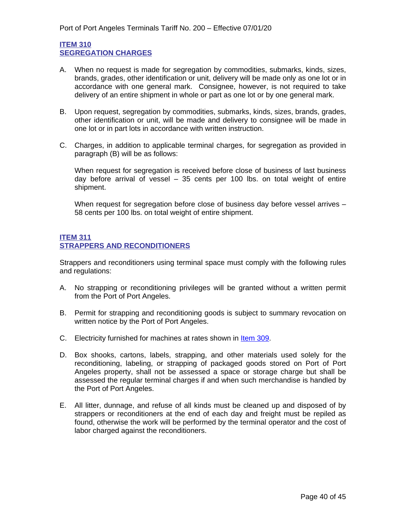#### <span id="page-39-1"></span>**ITEM 310 SEGREGATION CHARGES**

- <span id="page-39-0"></span>A. When no request is made for segregation by commodities, submarks, kinds, sizes, brands, grades, other identification or unit, delivery will be made only as one lot or in accordance with one general mark. Consignee, however, is not required to take delivery of an entire shipment in whole or part as one lot or by one general mark.
- B. Upon request, segregation by commodities, submarks, kinds, sizes, brands, grades, other identification or unit, will be made and delivery to consignee will be made in one lot or in part lots in accordance with written instruction.
- C. Charges, in addition to applicable terminal charges, for segregation as provided in paragraph (B) will be as follows:

When request for segregation is received before close of business of last business day before arrival of vessel – 35 cents per 100 lbs. on total weight of entire shipment.

When request for segregation before close of business day before vessel arrives -58 cents per 100 lbs. on total weight of entire shipment.

#### <span id="page-39-3"></span>**ITEM 311 STRAPPERS AND RECONDITIONERS**

<span id="page-39-2"></span>Strappers and reconditioners using terminal space must comply with the following rules and regulations:

- A. No strapping or reconditioning privileges will be granted without a written permit from the Port of Port Angeles.
- B. Permit for strapping and reconditioning goods is subject to summary revocation on written notice by the Port of Port Angeles.
- C. Electricity furnished for machines at rates shown in Item 309.
- D. Box shooks, cartons, labels, strapping, and other materials used solely for the reconditioning, labeling, or strapping of packaged goods stored on Port of Port Angeles property, shall not be assessed a space or storage charge but shall be assessed the regular terminal charges if and when such merchandise is handled by the Port of Port Angeles.
- E. All litter, dunnage, and refuse of all kinds must be cleaned up and disposed of by strappers or reconditioners at the end of each day and freight must be repiled as found, otherwise the work will be performed by the terminal operator and the cost of labor charged against the reconditioners.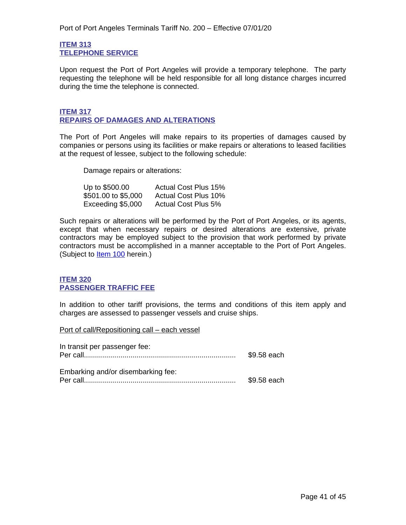#### <span id="page-40-1"></span>**ITEM 313 TELEPHONE SERVICE**

<span id="page-40-0"></span>Upon request the Port of Port Angeles will provide a temporary telephone. The party requesting the telephone will be held responsible for all long distance charges incurred during the time the telephone is connected.

#### <span id="page-40-3"></span>**ITEM 317 REPAIRS OF DAMAGES AND ALTERATIONS**

<span id="page-40-2"></span>The Port of Port Angeles will make repairs to its properties of damages caused by companies or persons using its facilities or make repairs or alterations to leased facilities at the request of lessee, subject to the following schedule:

Damage repairs or alterations:

| Up to \$500.00      | <b>Actual Cost Plus 15%</b> |
|---------------------|-----------------------------|
| \$501.00 to \$5,000 | <b>Actual Cost Plus 10%</b> |
| Exceeding \$5,000   | <b>Actual Cost Plus 5%</b>  |

Such repairs or alterations will be performed by the Port of Port Angeles, or its agents, except that when necessary repairs or desired alterations are extensive, private contractors may be employed subject to the provision that work performed by private contractors must be accomplished in a manner acceptable to the Port of Port Angeles. (Subject to ltem 100 herein.)

#### <span id="page-40-5"></span>**ITEM 320 PASSENGER TRAFFIC FEE**

<span id="page-40-4"></span>In addition to other tariff provisions, the terms and conditions of this item apply and charges are assessed to passenger vessels and cruise ships.

Port of call/Repositioning call – each vessel

| In transit per passenger fee:      | \$9.58 each |
|------------------------------------|-------------|
| Embarking and/or disembarking fee: | \$9.58 each |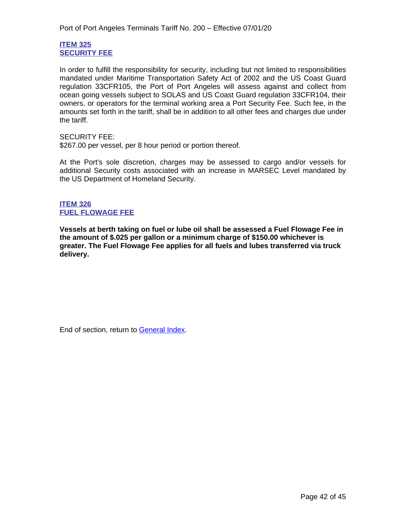#### <span id="page-41-1"></span>**ITEM 325 SECURITY FEE**

<span id="page-41-0"></span>In order to fulfill the responsibility for security, including but not limited to responsibilities mandated under Maritime Transportation Safety Act of 2002 and the US Coast Guard regulation 33CFR105, the Port of Port Angeles will assess against and collect from ocean going vessels subject to SOLAS and US Coast Guard regulation 33CFR104, their owners, or operators for the terminal working area a Port Security Fee. Such fee, in the amounts set forth in the tariff, shall be in addition to all other fees and charges due under the tariff.

SECURITY FEE:

\$267.00 per vessel, per 8 hour period or portion thereof.

At the Port's sole discretion, charges may be assessed to cargo and/or vessels for additional Security costs associated with an increase in MARSEC Level mandated by the US Department of Homeland Security.

**ITEM 326 FUEL FLOWAGE FEE**

**Vessels at berth taking on fuel or lube oil shall be assessed a Fuel Flowage Fee in the amount of \$.025 per gallon or a minimum charge of \$150.00 whichever is greater. The Fuel Flowage Fee applies for all fuels and lubes transferred via truck delivery.**

End of section, return to General Index.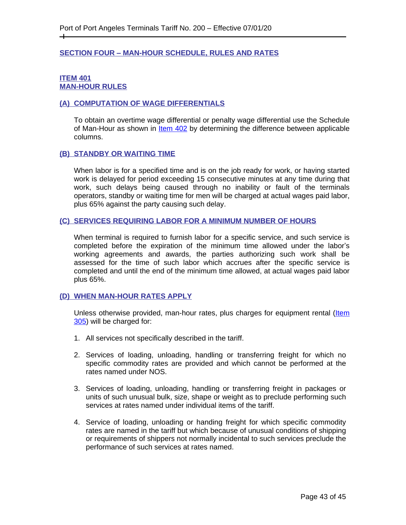#### <span id="page-42-0"></span>**SECTION FOUR – MAN-HOUR SCHEDULE, RULES AND RATES**

#### <span id="page-42-1"></span>**ITEM 401 MAN-HOUR RULES**

 $\pm$ 

#### <span id="page-42-2"></span>**(A) COMPUTATION OF WAGE DIFFERENTIALS**

To obtain an overtime wage differential or penalty wage differential use the Schedule of Man-Hour as shown in **[Item 402](#page-43-1)** by determining the difference between applicable columns.

#### <span id="page-42-3"></span>**(B) STANDBY OR WAITING TIME**

When labor is for a specified time and is on the job ready for work, or having started work is delayed for period exceeding 15 consecutive minutes at any time during that work, such delays being caused through no inability or fault of the terminals operators, standby or waiting time for men will be charged at actual wages paid labor, plus 65% against the party causing such delay.

#### <span id="page-42-4"></span>**(C) SERVICES REQUIRING LABOR FOR A MINIMUM NUMBER OF HOURS**

When terminal is required to furnish labor for a specific service, and such service is completed before the expiration of the minimum time allowed under the labor's working agreements and awards, the parties authorizing such work shall be assessed for the time of such labor which accrues after the specific service is completed and until the end of the minimum time allowed, at actual wages paid labor plus 65%.

#### **(D) WHEN MAN-HOUR RATES APPLY**

Unless otherwise provided, man-hour rates, plus charges for equipment rental (Item 305) will be charged for:

- 1. All services not specifically described in the tariff.
- 2. Services of loading, unloading, handling or transferring freight for which no specific commodity rates are provided and which cannot be performed at the rates named under NOS.
- 3. Services of loading, unloading, handling or transferring freight in packages or units of such unusual bulk, size, shape or weight as to preclude performing such services at rates named under individual items of the tariff.
- 4. Service of loading, unloading or handing freight for which specific commodity rates are named in the tariff but which because of unusual conditions of shipping or requirements of shippers not normally incidental to such services preclude the performance of such services at rates named.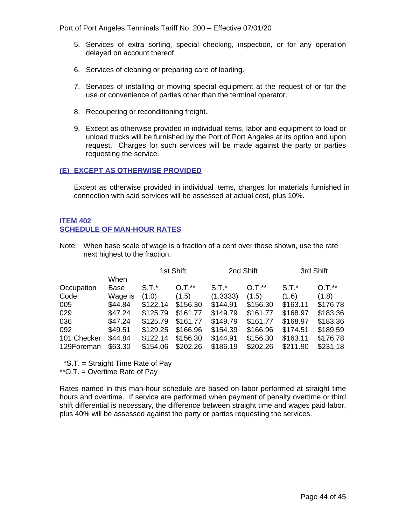Port of Port Angeles Terminals Tariff No. 200 – Effective 07/01/20

- 5. Services of extra sorting, special checking, inspection, or for any operation delayed on account thereof.
- 6. Services of cleaning or preparing care of loading.
- 7. Services of installing or moving special equipment at the request of or for the use or convenience of parties other than the terminal operator.
- 8. Recoupering or reconditioning freight.
- 9. Except as otherwise provided in individual items, labor and equipment to load or unload trucks will be furnished by the Port of Port Angeles at its option and upon request. Charges for such services will be made against the party or parties requesting the service.

#### <span id="page-43-0"></span>**(E) EXCEPT AS OTHERWISE PROVIDED**

Except as otherwise provided in individual items, charges for materials furnished in connection with said services will be assessed at actual cost, plus 10%.

#### <span id="page-43-1"></span>**ITEM 402 SCHEDULE OF MAN-HOUR RATES**

Note: When base scale of wage is a fraction of a cent over those shown, use the rate next highest to the fraction.

|             |         | 1st Shift |          | 2nd Shift |          | 3rd Shift |          |
|-------------|---------|-----------|----------|-----------|----------|-----------|----------|
|             | When    |           |          |           |          |           |          |
| Occupation  | Base    | $S.T.*$   | $O.T.**$ | $S.T.*$   | $O.T.**$ | $S.T.*$   | $0.7.*$  |
| Code        | Wage is | (1.0)     | (1.5)    | (1.3333)  | (1.5)    | (1.6)     | (1.8)    |
| 005         | \$44.84 | \$122.14  | \$156.30 | \$144.91  | \$156.30 | \$163.11  | \$176.78 |
| 029         | \$47.24 | \$125.79  | \$161.77 | \$149.79  | \$161.77 | \$168.97  | \$183.36 |
| 036         | \$47.24 | \$125.79  | \$161.77 | \$149.79  | \$161.77 | \$168.97  | \$183.36 |
| 092         | \$49.51 | \$129.25  | \$166.96 | \$154.39  | \$166.96 | \$174.51  | \$189.59 |
| 101 Checker | \$44.84 | \$122.14  | \$156.30 | \$144.91  | \$156.30 | \$163.11  | \$176.78 |
| 129Foreman  | \$63.30 | \$154.06  | \$202.26 | \$186.19  | \$202.26 | \$211.90  | \$231.18 |

\*S.T. = Straight Time Rate of Pay

\*\*O.T. = Overtime Rate of Pay

Rates named in this man-hour schedule are based on labor performed at straight time hours and overtime. If service are performed when payment of penalty overtime or third shift differential is necessary, the difference between straight time and wages paid labor, plus 40% will be assessed against the party or parties requesting the services.